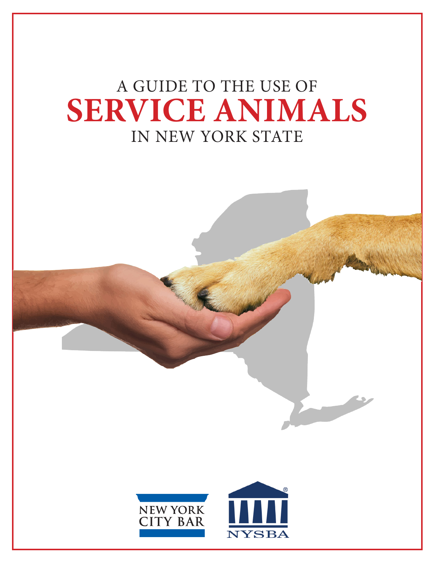# A GUIDE TO THE USE OF **SERVICE ANIMALS** IN NEW YORK STATE

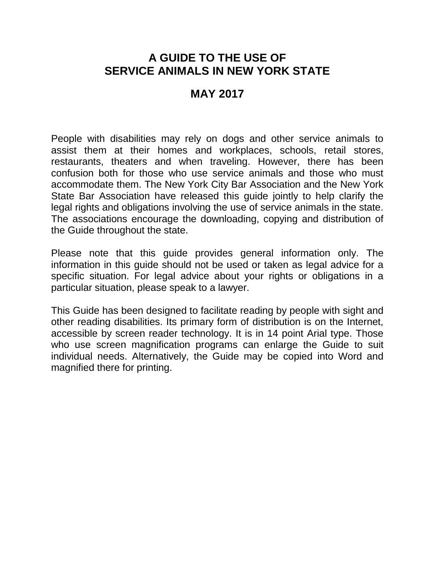#### **A GUIDE TO THE USE OF SERVICE ANIMALS IN NEW YORK STATE**

#### **MAY 2017**

People with disabilities may rely on dogs and other service animals to assist them at their homes and workplaces, schools, retail stores, restaurants, theaters and when traveling. However, there has been confusion both for those who use service animals and those who must accommodate them. The New York City Bar Association and the New York State Bar Association have released this guide jointly to help clarify the legal rights and obligations involving the use of service animals in the state. The associations encourage the downloading, copying and distribution of the Guide throughout the state.

Please note that this guide provides general information only. The information in this guide should not be used or taken as legal advice for a specific situation. For legal advice about your rights or obligations in a particular situation, please speak to a lawyer.

This Guide has been designed to facilitate reading by people with sight and other reading disabilities. Its primary form of distribution is on the Internet, accessible by screen reader technology. It is in 14 point Arial type. Those who use screen magnification programs can enlarge the Guide to suit individual needs. Alternatively, the Guide may be copied into Word and magnified there for printing.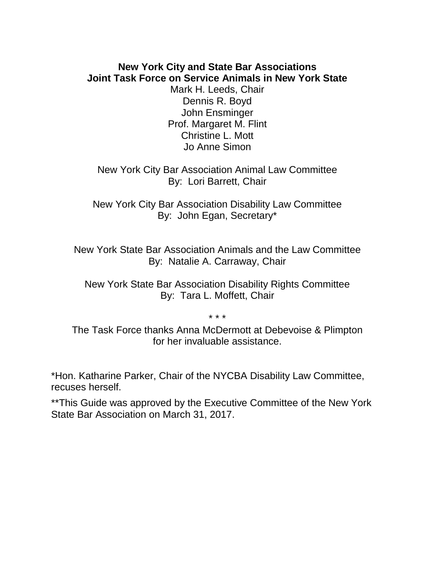#### **New York City and State Bar Associations Joint Task Force on Service Animals in New York State**

Mark H. Leeds, Chair Dennis R. Boyd John Ensminger Prof. Margaret M. Flint Christine L. Mott Jo Anne Simon

New York City Bar Association Animal Law Committee By: Lori Barrett, Chair

New York City Bar Association Disability Law Committee By: John Egan, Secretary\*

New York State Bar Association Animals and the Law Committee By: Natalie A. Carraway, Chair

New York State Bar Association Disability Rights Committee By: Tara L. Moffett, Chair

\* \* \*

The Task Force thanks Anna McDermott at Debevoise & Plimpton for her invaluable assistance.

\*Hon. Katharine Parker, Chair of the NYCBA Disability Law Committee, recuses herself.

\*\*This Guide was approved by the Executive Committee of the New York State Bar Association on March 31, 2017.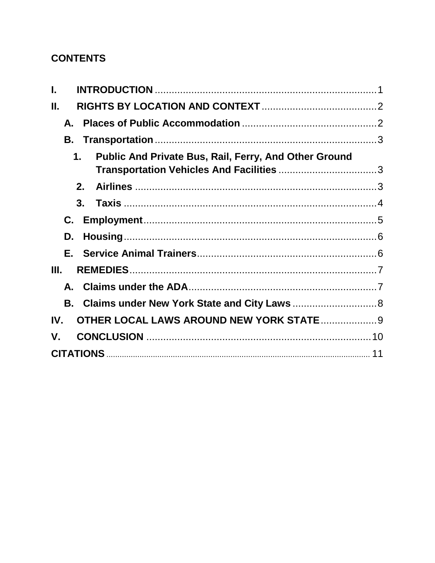## **CONTENTS**

| Ш.                                                                 |  |
|--------------------------------------------------------------------|--|
| А.                                                                 |  |
| В.                                                                 |  |
| <b>Public And Private Bus, Rail, Ferry, And Other Ground</b><br>1. |  |
| $2-$                                                               |  |
| 3.                                                                 |  |
| C.                                                                 |  |
| D.                                                                 |  |
|                                                                    |  |
| III.                                                               |  |
|                                                                    |  |
|                                                                    |  |
| <b>OTHER LOCAL LAWS AROUND NEW YORK STATE </b> 9<br>IV.            |  |
| V.                                                                 |  |
|                                                                    |  |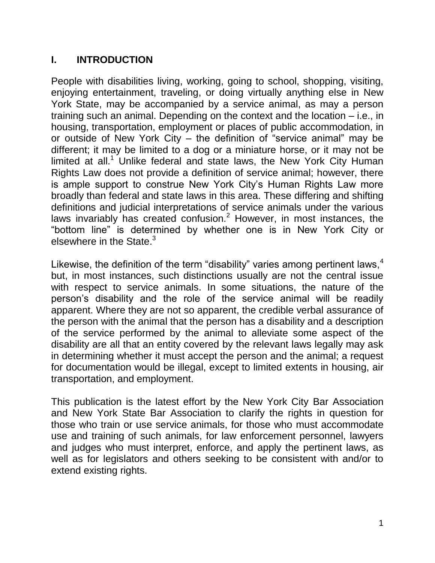#### <span id="page-4-0"></span>**I. INTRODUCTION**

People with disabilities living, working, going to school, shopping, visiting, enjoying entertainment, traveling, or doing virtually anything else in New York State, may be accompanied by a service animal, as may a person training such an animal. Depending on the context and the location – i.e., in housing, transportation, employment or places of public accommodation, in or outside of New York City – the definition of "service animal" may be different; it may be limited to a dog or a miniature horse, or it may not be limited at all.<sup>1</sup> Unlike federal and state laws, the New York City Human Rights Law does not provide a definition of service animal; however, there is ample support to construe New York City's Human Rights Law more broadly than federal and state laws in this area. These differing and shifting definitions and judicial interpretations of service animals under the various laws invariably has created confusion.<sup>2</sup> However, in most instances, the "bottom line" is determined by whether one is in New York City or elsewhere in the State. $3$ 

Likewise, the definition of the term "disability" varies among pertinent laws,  $4\overline{ }$ but, in most instances, such distinctions usually are not the central issue with respect to service animals. In some situations, the nature of the person's disability and the role of the service animal will be readily apparent. Where they are not so apparent, the credible verbal assurance of the person with the animal that the person has a disability and a description of the service performed by the animal to alleviate some aspect of the disability are all that an entity covered by the relevant laws legally may ask in determining whether it must accept the person and the animal; a request for documentation would be illegal, except to limited extents in housing, air transportation, and employment.

This publication is the latest effort by the New York City Bar Association and New York State Bar Association to clarify the rights in question for those who train or use service animals, for those who must accommodate use and training of such animals, for law enforcement personnel, lawyers and judges who must interpret, enforce, and apply the pertinent laws, as well as for legislators and others seeking to be consistent with and/or to extend existing rights.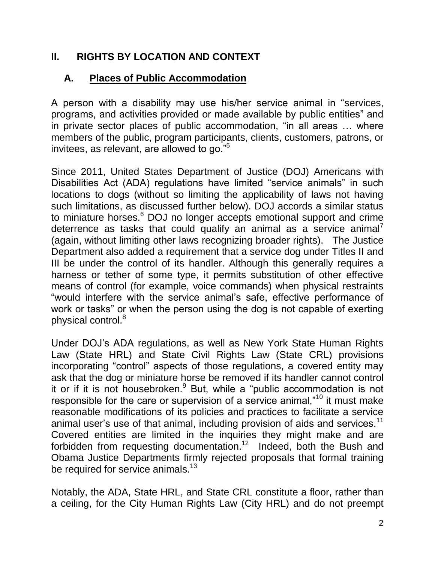#### <span id="page-5-0"></span>**II. RIGHTS BY LOCATION AND CONTEXT**

#### <span id="page-5-1"></span>**A. Places of Public Accommodation**

A person with a disability may use his/her service animal in "services, programs, and activities provided or made available by public entities" and in private sector places of public accommodation, "in all areas … where members of the public, program participants, clients, customers, patrons, or invitees, as relevant, are allowed to go."<sup>5</sup>

Since 2011, United States Department of Justice (DOJ) Americans with Disabilities Act (ADA) regulations have limited "service animals" in such locations to dogs (without so limiting the applicability of laws not having such limitations, as discussed further below). DOJ accords a similar status to miniature horses.<sup>6</sup> DOJ no longer accepts emotional support and crime deterrence as tasks that could qualify an animal as a service animal<sup>7</sup> (again, without limiting other laws recognizing broader rights). The Justice Department also added a requirement that a service dog under Titles II and III be under the control of its handler. Although this generally requires a harness or tether of some type, it permits substitution of other effective means of control (for example, voice commands) when physical restraints "would interfere with the service animal's safe, effective performance of work or tasks" or when the person using the dog is not capable of exerting physical control.<sup>8</sup>

Under DOJ's ADA regulations, as well as New York State Human Rights Law (State HRL) and State Civil Rights Law (State CRL) provisions incorporating "control" aspects of those regulations, a covered entity may ask that the dog or miniature horse be removed if its handler cannot control it or if it is not housebroken.<sup>9</sup> But, while a "public accommodation is not responsible for the care or supervision of a service animal,"<sup>10</sup> it must make reasonable modifications of its policies and practices to facilitate a service animal user's use of that animal, including provision of aids and services.<sup>11</sup> Covered entities are limited in the inquiries they might make and are forbidden from requesting documentation.<sup>12</sup> Indeed, both the Bush and Obama Justice Departments firmly rejected proposals that formal training be required for service animals.<sup>13</sup>

Notably, the ADA, State HRL, and State CRL constitute a floor, rather than a ceiling, for the City Human Rights Law (City HRL) and do not preempt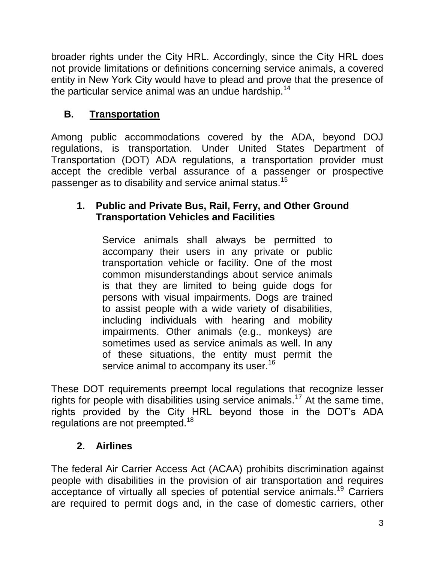broader rights under the City HRL. Accordingly, since the City HRL does not provide limitations or definitions concerning service animals, a covered entity in New York City would have to plead and prove that the presence of the particular service animal was an undue hardship.<sup>14</sup>

# <span id="page-6-0"></span>**B. Transportation**

Among public accommodations covered by the ADA, beyond DOJ regulations, is transportation. Under United States Department of Transportation (DOT) ADA regulations, a transportation provider must accept the credible verbal assurance of a passenger or prospective passenger as to disability and service animal status.<sup>15</sup>

## <span id="page-6-1"></span>**1. Public and Private Bus, Rail, Ferry, and Other Ground Transportation Vehicles and Facilities**

Service animals shall always be permitted to accompany their users in any private or public transportation vehicle or facility. One of the most common misunderstandings about service animals is that they are limited to being guide dogs for persons with visual impairments. Dogs are trained to assist people with a wide variety of disabilities, including individuals with hearing and mobility impairments. Other animals (e.g., monkeys) are sometimes used as service animals as well. In any of these situations, the entity must permit the service animal to accompany its user.<sup>16</sup>

These DOT requirements preempt local regulations that recognize lesser rights for people with disabilities using service animals.<sup>17</sup> At the same time, rights provided by the City HRL beyond those in the DOT's ADA regulations are not preempted.<sup>18</sup>

# **2. Airlines**

<span id="page-6-2"></span>The federal Air Carrier Access Act (ACAA) prohibits discrimination against people with disabilities in the provision of air transportation and requires acceptance of virtually all species of potential service animals.<sup>19</sup> Carriers are required to permit dogs and, in the case of domestic carriers, other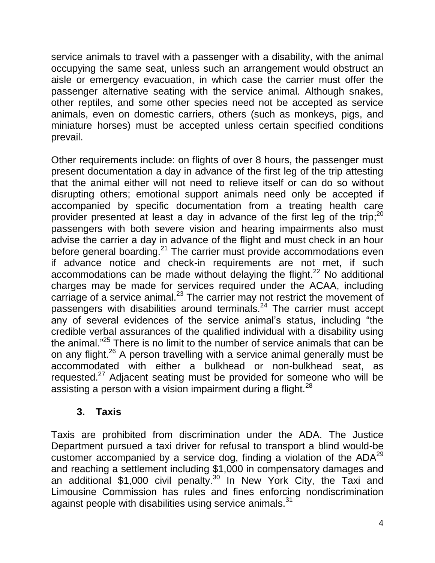service animals to travel with a passenger with a disability, with the animal occupying the same seat, unless such an arrangement would obstruct an aisle or emergency evacuation, in which case the carrier must offer the passenger alternative seating with the service animal. Although snakes, other reptiles, and some other species need not be accepted as service animals, even on domestic carriers, others (such as monkeys, pigs, and miniature horses) must be accepted unless certain specified conditions prevail.

Other requirements include: on flights of over 8 hours, the passenger must present documentation a day in advance of the first leg of the trip attesting that the animal either will not need to relieve itself or can do so without disrupting others; emotional support animals need only be accepted if accompanied by specific documentation from a treating health care provider presented at least a day in advance of the first leg of the trip;<sup>20</sup> passengers with both severe vision and hearing impairments also must advise the carrier a day in advance of the flight and must check in an hour before general boarding.<sup>21</sup> The carrier must provide accommodations even if advance notice and check-in requirements are not met, if such accommodations can be made without delaying the flight. $^{22}$  No additional charges may be made for services required under the ACAA, including carriage of a service animal.<sup>23</sup> The carrier may not restrict the movement of passengers with disabilities around terminals.<sup>24</sup> The carrier must accept any of several evidences of the service animal's status, including "the credible verbal assurances of the qualified individual with a disability using the animal."<sup>25</sup> There is no limit to the number of service animals that can be on any flight.<sup>26</sup> A person travelling with a service animal generally must be accommodated with either a bulkhead or non-bulkhead seat, as requested.<sup>27</sup> Adjacent seating must be provided for someone who will be assisting a person with a vision impairment during a flight. $^{28}$ 

#### **3. Taxis**

<span id="page-7-0"></span>Taxis are prohibited from discrimination under the ADA. The Justice Department pursued a taxi driver for refusal to transport a blind would-be customer accompanied by a service dog, finding a violation of the  $ADA^{29}$ and reaching a settlement including \$1,000 in compensatory damages and an additional \$1,000 civil penalty.<sup>30</sup> In New York City, the Taxi and Limousine Commission has rules and fines enforcing nondiscrimination against people with disabilities using service animals.<sup>31</sup>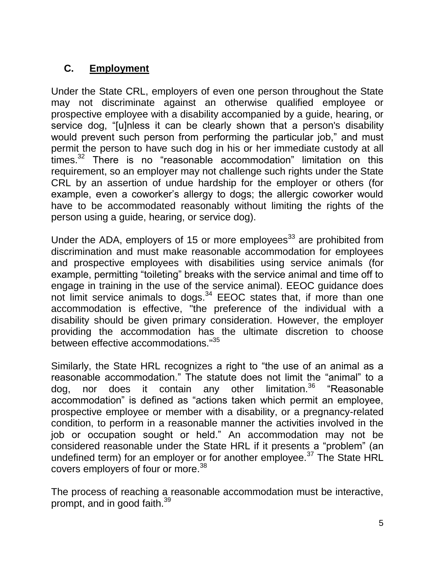## <span id="page-8-0"></span>**C. Employment**

Under the State CRL, employers of even one person throughout the State may not discriminate against an otherwise qualified employee or prospective employee with a disability accompanied by a guide, hearing, or service dog, "[u]nless it can be clearly shown that a person's disability would prevent such person from performing the particular job," and must permit the person to have such dog in his or her immediate custody at all times.<sup>32</sup> There is no "reasonable accommodation" limitation on this requirement, so an employer may not challenge such rights under the State CRL by an assertion of undue hardship for the employer or others (for example, even a coworker's allergy to dogs; the allergic coworker would have to be accommodated reasonably without limiting the rights of the person using a guide, hearing, or service dog).

Under the ADA, employers of 15 or more employees<sup>33</sup> are prohibited from discrimination and must make reasonable accommodation for employees and prospective employees with disabilities using service animals (for example, permitting "toileting" breaks with the service animal and time off to engage in training in the use of the service animal). EEOC guidance does not limit service animals to dogs.<sup>34</sup> EEOC states that, if more than one accommodation is effective, "the preference of the individual with a disability should be given primary consideration. However, the employer providing the accommodation has the ultimate discretion to choose between effective accommodations."<sup>35</sup>

Similarly, the State HRL recognizes a right to "the use of an animal as a reasonable accommodation." The statute does not limit the "animal" to a dog, nor does it contain any other limitation.<sup>36</sup> "Reasonable dog, nor does it contain any other limitation.<sup>36</sup> "Reasonable accommodation" is defined as "actions taken which permit an employee, prospective employee or member with a disability, or a pregnancy-related condition, to perform in a reasonable manner the activities involved in the job or occupation sought or held." An accommodation may not be considered reasonable under the State HRL if it presents a "problem" (an undefined term) for an employer or for another employee.<sup>37</sup> The State HRL covers employers of four or more.<sup>38</sup>

The process of reaching a reasonable accommodation must be interactive, prompt, and in good faith.<sup>39</sup>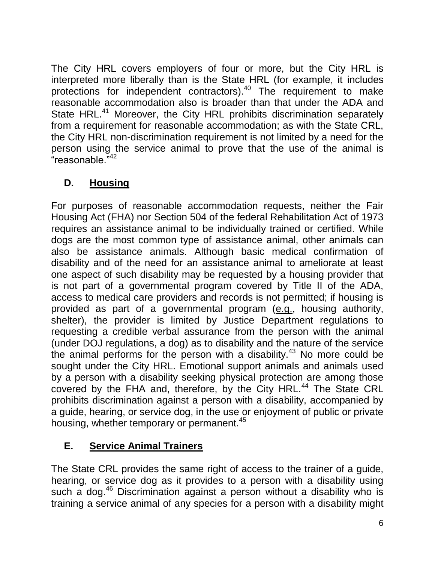The City HRL covers employers of four or more, but the City HRL is interpreted more liberally than is the State HRL (for example, it includes protections for independent contractors).<sup>40</sup> The requirement to make reasonable accommodation also is broader than that under the ADA and State HRL.<sup>41</sup> Moreover, the City HRL prohibits discrimination separately from a requirement for reasonable accommodation; as with the State CRL, the City HRL non-discrimination requirement is not limited by a need for the person using the service animal to prove that the use of the animal is "reasonable."<sup>42</sup>

# <span id="page-9-0"></span>**D. Housing**

For purposes of reasonable accommodation requests, neither the Fair Housing Act (FHA) nor Section 504 of the federal Rehabilitation Act of 1973 requires an assistance animal to be individually trained or certified. While dogs are the most common type of assistance animal, other animals can also be assistance animals. Although basic medical confirmation of disability and of the need for an assistance animal to ameliorate at least one aspect of such disability may be requested by a housing provider that is not part of a governmental program covered by Title II of the ADA, access to medical care providers and records is not permitted; if housing is provided as part of a governmental program (e.g., housing authority, shelter), the provider is limited by Justice Department regulations to requesting a credible verbal assurance from the person with the animal (under DOJ regulations, a dog) as to disability and the nature of the service the animal performs for the person with a disability.<sup>43</sup> No more could be sought under the City HRL. Emotional support animals and animals used by a person with a disability seeking physical protection are among those covered by the FHA and, therefore, by the City HRL.<sup>44</sup> The State CRL prohibits discrimination against a person with a disability, accompanied by a guide, hearing, or service dog, in the use or enjoyment of public or private housing, whether temporary or permanent.<sup>45</sup>

# <span id="page-9-1"></span>**E. Service Animal Trainers**

The State CRL provides the same right of access to the trainer of a guide, hearing, or service dog as it provides to a person with a disability using such a dog.<sup>46</sup> Discrimination against a person without a disability who is training a service animal of any species for a person with a disability might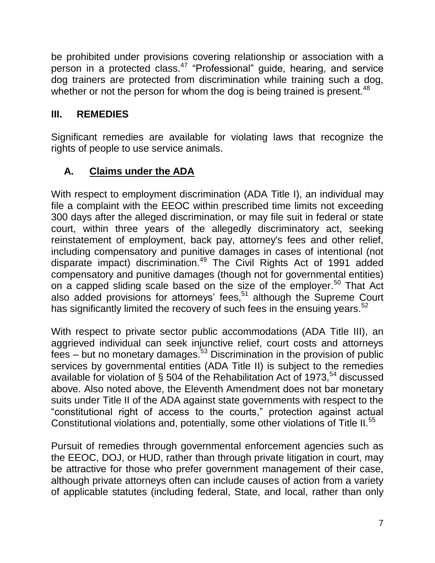be prohibited under provisions covering relationship or association with a person in a protected class.<sup>47</sup> "Professional" guide, hearing, and service dog trainers are protected from discrimination while training such a dog, whether or not the person for whom the dog is being trained is present.<sup>48</sup>

## <span id="page-10-0"></span>**III. REMEDIES**

Significant remedies are available for violating laws that recognize the rights of people to use service animals.

## <span id="page-10-1"></span>**A. Claims under the ADA**

With respect to employment discrimination (ADA Title I), an individual may file a complaint with the EEOC within prescribed time limits not exceeding 300 days after the alleged discrimination, or may file suit in federal or state court, within three years of the allegedly discriminatory act, seeking reinstatement of employment, back pay, attorney's fees and other relief, including compensatory and punitive damages in cases of intentional (not disparate impact) discrimination.<sup>49</sup> The Civil Rights Act of 1991 added compensatory and punitive damages (though not for governmental entities) on a capped sliding scale based on the size of the employer.<sup>50</sup> That Act also added provisions for attorneys' fees,  $51$  although the Supreme Court has significantly limited the recovery of such fees in the ensuing years.<sup>52</sup>

With respect to private sector public accommodations (ADA Title III), an aggrieved individual can seek injunctive relief, court costs and attorneys  $fees - but no monetary damages.<sup>53</sup> Discrimination in the provision of public$ services by governmental entities (ADA Title II) is subject to the remedies available for violation of § 504 of the Rehabilitation Act of 1973,<sup>54</sup> discussed above. Also noted above, the Eleventh Amendment does not bar monetary suits under Title II of the ADA against state governments with respect to the "constitutional right of access to the courts," protection against actual Constitutional violations and, potentially, some other violations of Title II.<sup>55</sup>

Pursuit of remedies through governmental enforcement agencies such as the EEOC, DOJ, or HUD, rather than through private litigation in court, may be attractive for those who prefer government management of their case, although private attorneys often can include causes of action from a variety of applicable statutes (including federal, State, and local, rather than only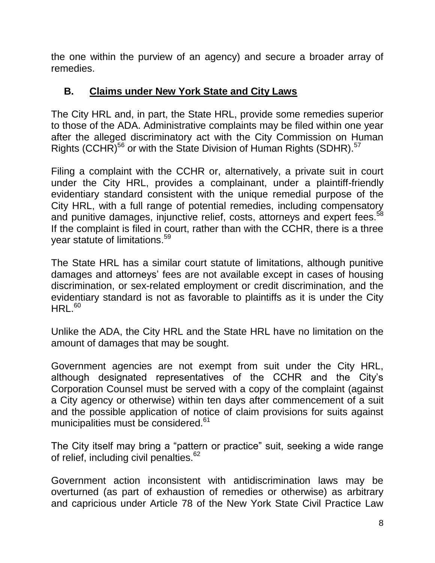the one within the purview of an agency) and secure a broader array of remedies.

#### <span id="page-11-0"></span>**B. Claims under New York State and City Laws**

The City HRL and, in part, the State HRL, provide some remedies superior to those of the ADA. Administrative complaints may be filed within one year after the alleged discriminatory act with the City Commission on Human Rights (CCHR)<sup>56</sup> or with the State Division of Human Rights (SDHR).<sup>57</sup>

Filing a complaint with the CCHR or, alternatively, a private suit in court under the City HRL, provides a complainant, under a plaintiff-friendly evidentiary standard consistent with the unique remedial purpose of the City HRL, with a full range of potential remedies, including compensatory and punitive damages, injunctive relief, costs, attorneys and expert fees.<sup>58</sup> If the complaint is filed in court, rather than with the CCHR, there is a three year statute of limitations.<sup>59</sup>

The State HRL has a similar court statute of limitations, although punitive damages and attorneys' fees are not available except in cases of housing discrimination, or sex-related employment or credit discrimination, and the evidentiary standard is not as favorable to plaintiffs as it is under the City  $HRL<sup>60</sup>$ 

Unlike the ADA, the City HRL and the State HRL have no limitation on the amount of damages that may be sought.

Government agencies are not exempt from suit under the City HRL, although designated representatives of the CCHR and the City's Corporation Counsel must be served with a copy of the complaint (against a City agency or otherwise) within ten days after commencement of a suit and the possible application of notice of claim provisions for suits against municipalities must be considered.<sup>61</sup>

The City itself may bring a "pattern or practice" suit, seeking a wide range of relief, including civil penalties. $62$ 

Government action inconsistent with antidiscrimination laws may be overturned (as part of exhaustion of remedies or otherwise) as arbitrary and capricious under Article 78 of the New York State Civil Practice Law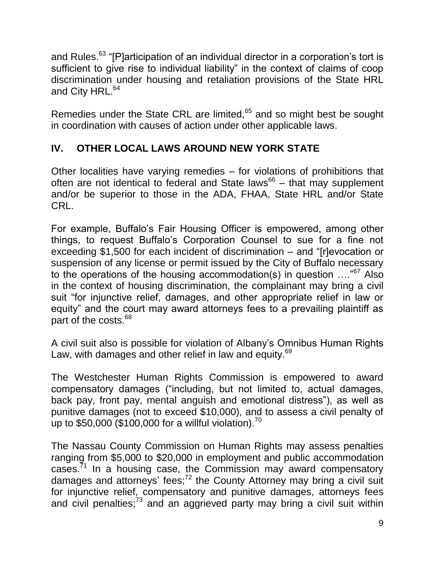and Rules.<sup>63</sup> "[P]articipation of an individual director in a corporation's tort is sufficient to give rise to individual liability" in the context of claims of coop discrimination under housing and retaliation provisions of the State HRL and City HRL.<sup>64</sup>

Remedies under the State CRL are limited,<sup>65</sup> and so might best be sought in coordination with causes of action under other applicable laws.

## <span id="page-12-0"></span>**IV. OTHER LOCAL LAWS AROUND NEW YORK STATE**

Other localities have varying remedies – for violations of prohibitions that often are not identical to federal and State laws<sup>66</sup> – that may supplement and/or be superior to those in the ADA, FHAA, State HRL and/or State CRL.

For example, Buffalo's Fair Housing Officer is empowered, among other things, to request Buffalo's Corporation Counsel to sue for a fine not exceeding \$1,500 for each incident of discrimination – and "[r]evocation or suspension of any license or permit issued by the City of Buffalo necessary to the operations of the housing accommodation(s) in question  $\ldots$ <sup>67</sup> Also in the context of housing discrimination, the complainant may bring a civil suit "for injunctive relief, damages, and other appropriate relief in law or equity" and the court may award attorneys fees to a prevailing plaintiff as part of the costs.<sup>68</sup>

A civil suit also is possible for violation of Albany's Omnibus Human Rights Law, with damages and other relief in law and equity.<sup>69</sup>

The Westchester Human Rights Commission is empowered to award compensatory damages ("including, but not limited to, actual damages, back pay, front pay, mental anguish and emotional distress"), as well as punitive damages (not to exceed \$10,000), and to assess a civil penalty of up to \$50,000 (\$100,000 for a willful violation).<sup>70</sup>

The Nassau County Commission on Human Rights may assess penalties ranging from \$5,000 to \$20,000 in employment and public accommodation cases.<sup>71</sup> In a housing case, the Commission may award compensatory damages and attorneys' fees;<sup>72</sup> the County Attorney may bring a civil suit for injunctive relief, compensatory and punitive damages, attorneys fees and civil penalties; $73$  and an aggrieved party may bring a civil suit within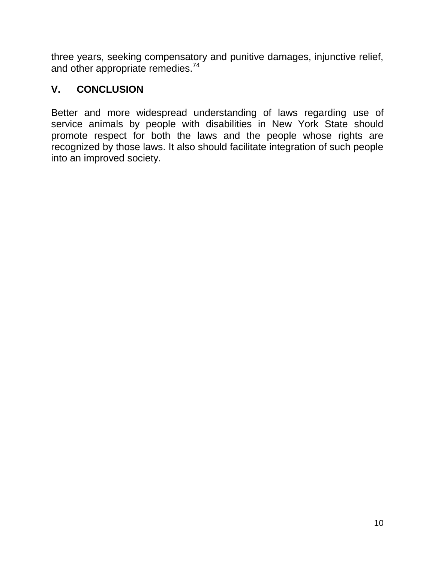three years, seeking compensatory and punitive damages, injunctive relief, and other appropriate remedies.<sup>74</sup>

#### <span id="page-13-0"></span>**V. CONCLUSION**

<span id="page-13-1"></span>Better and more widespread understanding of laws regarding use of service animals by people with disabilities in New York State should promote respect for both the laws and the people whose rights are recognized by those laws. It also should facilitate integration of such people into an improved society.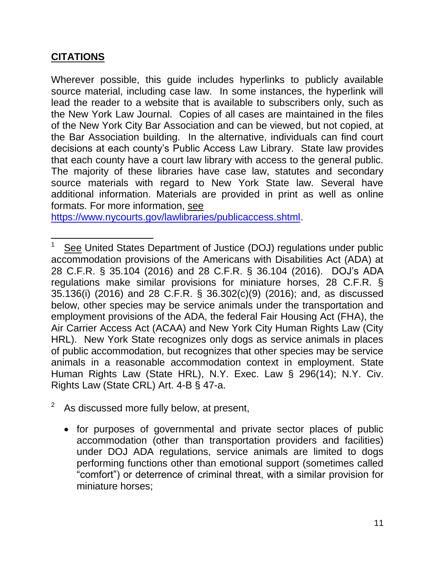#### **CITATIONS**

 $\overline{\phantom{a}}$ 

Wherever possible, this guide includes hyperlinks to publicly available source material, including case law. In some instances, the hyperlink will lead the reader to a website that is available to subscribers only, such as the New York Law Journal. Copies of all cases are maintained in the files of the New York City Bar Association and can be viewed, but not copied, at the Bar Association building. In the alternative, individuals can find court decisions at each county's Public Access Law Library. State law provides that each county have a court law library with access to the general public. The majority of these libraries have case law, statutes and secondary source materials with regard to New York State law. Several have additional information. Materials are provided in print as well as online formats. For more information, see

[https://www.nycourts.gov/lawlibraries/publicaccess.shtml.](https://www.nycourts.gov/lawlibraries/publicaccess.shtml)

- $2^2$  As discussed more fully below, at present,
	- for purposes of governmental and private sector places of public accommodation (other than transportation providers and facilities) under DOJ ADA regulations, service animals are limited to dogs performing functions other than emotional support (sometimes called "comfort") or deterrence of criminal threat, with a similar provision for miniature horses;

<sup>1</sup> See United States Department of Justice (DOJ) regulations under public accommodation provisions of the Americans with Disabilities Act (ADA) at 28 C.F.R. § 35.104 (2016) and 28 C.F.R. § 36.104 (2016). DOJ's ADA regulations make similar provisions for miniature horses, 28 C.F.R. § 35.136(i) (2016) and 28 C.F.R. § 36.302(c)(9) (2016); and, as discussed below, other species may be service animals under the transportation and employment provisions of the ADA, the federal Fair Housing Act (FHA), the Air Carrier Access Act (ACAA) and New York City Human Rights Law (City HRL). New York State recognizes only dogs as service animals in places of public accommodation, but recognizes that other species may be service animals in a reasonable accommodation context in employment. State Human Rights Law (State HRL), N.Y. Exec. Law § 296(14); N.Y. Civ. Rights Law (State CRL) Art. 4-B § 47-a.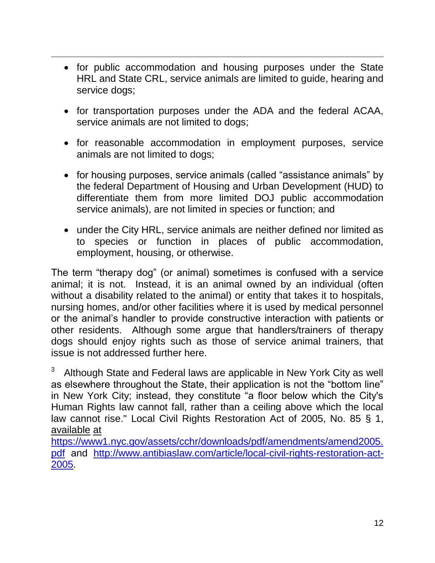• for public accommodation and housing purposes under the State HRL and State CRL, service animals are limited to guide, hearing and service dogs;

 $\overline{\phantom{a}}$ 

- for transportation purposes under the ADA and the federal ACAA, service animals are not limited to dogs;
- for reasonable accommodation in employment purposes, service animals are not limited to dogs;
- for housing purposes, service animals (called "assistance animals" by the federal Department of Housing and Urban Development (HUD) to differentiate them from more limited DOJ public accommodation service animals), are not limited in species or function; and
- under the City HRL, service animals are neither defined nor limited as to species or function in places of public accommodation, employment, housing, or otherwise.

The term "therapy dog" (or animal) sometimes is confused with a service animal; it is not. Instead, it is an animal owned by an individual (often without a disability related to the animal) or entity that takes it to hospitals, nursing homes, and/or other facilities where it is used by medical personnel or the animal's handler to provide constructive interaction with patients or other residents. Although some argue that handlers/trainers of therapy dogs should enjoy rights such as those of service animal trainers, that issue is not addressed further here.

Although State and Federal laws are applicable in New York City as well as elsewhere throughout the State, their application is not the "bottom line" in New York City; instead, they constitute "a floor below which the City's Human Rights law cannot fall, rather than a ceiling above which the local law cannot rise." Local Civil Rights Restoration Act of 2005, No. 85 § 1, available at

[https://www1.nyc.gov/assets/cchr/downloads/pdf/amendments/amend2005.](https://www1.nyc.gov/assets/cchr/downloads/pdf/amendments/amend2005.pdf) [pdf](https://www1.nyc.gov/assets/cchr/downloads/pdf/amendments/amend2005.pdf) and [http://www.antibiaslaw.com/article/local-civil-rights-restoration-act-](http://www.antibiaslaw.com/article/local-civil-rights-restoration-act-2005)[2005.](http://www.antibiaslaw.com/article/local-civil-rights-restoration-act-2005)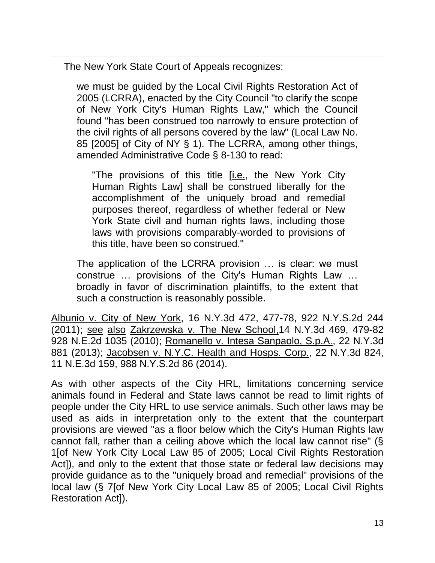The New York State Court of Appeals recognizes:

 $\overline{\phantom{a}}$ 

we must be guided by the Local Civil Rights Restoration Act of 2005 (LCRRA), enacted by the City Council "to clarify the scope of New York City's Human Rights Law," which the Council found "has been construed too narrowly to ensure protection of the civil rights of all persons covered by the law" (Local Law No. 85 [2005] of City of NY § 1). The LCRRA, among other things, amended Administrative Code § 8-130 to read:

"The provisions of this title [i.e., the New York City Human Rights Law] shall be construed liberally for the accomplishment of the uniquely broad and remedial purposes thereof, regardless of whether federal or New York State civil and human rights laws, including those laws with provisions comparably-worded to provisions of this title, have been so construed."

The application of the LCRRA provision … is clear: we must construe … provisions of the City's Human Rights Law … broadly in favor of discrimination plaintiffs, to the extent that such a construction is reasonably possible.

Albunio v. City of New York, 16 N.Y.3d 472, 477-78, 922 N.Y.S.2d 244 (2011); see also Zakrzewska v. The New School,14 N.Y.3d 469, 479-82 928 N.E.2d 1035 (2010); Romanello v. Intesa Sanpaolo, S.p.A., 22 N.Y.3d 881 (2013); Jacobsen v. N.Y.C. Health and Hosps. Corp., 22 N.Y.3d 824, 11 N.E.3d 159, 988 N.Y.S.2d 86 (2014).

As with other aspects of the City HRL, limitations concerning service animals found in Federal and State laws cannot be read to limit rights of people under the City HRL to use service animals. Such other laws may be used as aids in interpretation only to the extent that the counterpart provisions are viewed "as a floor below which the City's Human Rights law cannot fall, rather than a ceiling above which the local law cannot rise" (§ 1[of New York City Local Law 85 of 2005; Local Civil Rights Restoration Act]), and only to the extent that those state or federal law decisions may provide guidance as to the "uniquely broad and remedial" provisions of the local law (§ 7[of New York City Local Law 85 of 2005; Local Civil Rights Restoration Act]).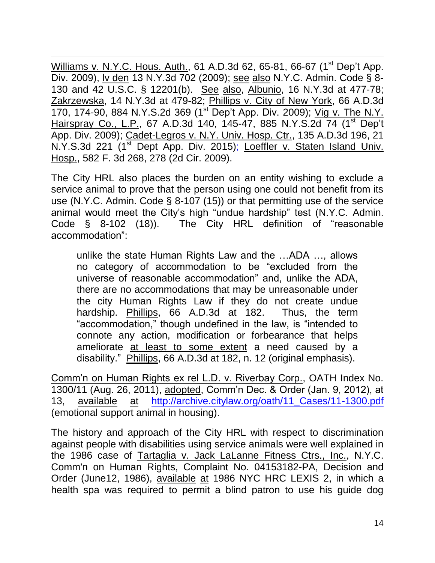$\overline{\phantom{a}}$ Williams v. N.Y.C. Hous. Auth., 61 A.D.3d 62, 65-81, 66-67 (1<sup>st</sup> Dep't App. Div. 2009), lv den 13 N.Y.3d 702 (2009); see also N.Y.C. Admin. Code § 8- 130 and 42 U.S.C. § 12201(b). See also, Albunio, 16 N.Y.3d at 477-78; Zakrzewska, 14 N.Y.3d at 479-82; Phillips v. City of New York, 66 A.D.3d 170, 174-90, 884 N.Y.S.2d 369 (1<sup>st</sup> Dep't App. Div. 2009); Vig v. The N.Y. Hairspray Co., L.P., 67 A.D.3d 140, 145-47, 885 N.Y.S.2d 74 (1<sup>st</sup> Dep't App. Div. 2009); Cadet-Legros v. N.Y. Univ. Hosp. Ctr., 135 A.D.3d 196, 21 N.Y.S.3d 221 (1<sup>st</sup> Dept App. Div. 2015); Loeffler v. Staten Island Univ. Hosp., 582 F. 3d 268, 278 (2d Cir. 2009).

The City HRL also places the burden on an entity wishing to exclude a service animal to prove that the person using one could not benefit from its use (N.Y.C. Admin. Code § 8-107 (15)) or that permitting use of the service animal would meet the City's high "undue hardship" test (N.Y.C. Admin. Code § 8-102 (18)). The City HRL definition of "reasonable accommodation":

unlike the state Human Rights Law and the …ADA …, allows no category of accommodation to be "excluded from the universe of reasonable accommodation" and, unlike the ADA, there are no accommodations that may be unreasonable under the city Human Rights Law if they do not create undue hardship. Phillips, 66 A.D.3d at 182. Thus, the term "accommodation," though undefined in the law, is "intended to connote any action, modification or forbearance that helps ameliorate at least to some extent a need caused by a disability." Phillips, 66 A.D.3d at 182, n. 12 (original emphasis).

Comm'n on Human Rights ex rel L.D. v. Riverbay Corp., OATH Index No. 1300/11 (Aug. 26, 2011), adopted, Comm'n Dec. & Order (Jan. 9, 2012), at 13, available at [http://archive.citylaw.org/oath/11\\_Cases/11-1300.pdf](http://archive.citylaw.org/oath/11_Cases/11-1300.pdf)  (emotional support animal in housing).

The history and approach of the City HRL with respect to discrimination against people with disabilities using service animals were well explained in the 1986 case of Tartaglia v. Jack LaLanne Fitness Ctrs., Inc., N.Y.C. Comm'n on Human Rights, Complaint No. 04153182-PA, Decision and Order (June12, 1986), available at 1986 NYC HRC LEXIS 2, in which a health spa was required to permit a blind patron to use his guide dog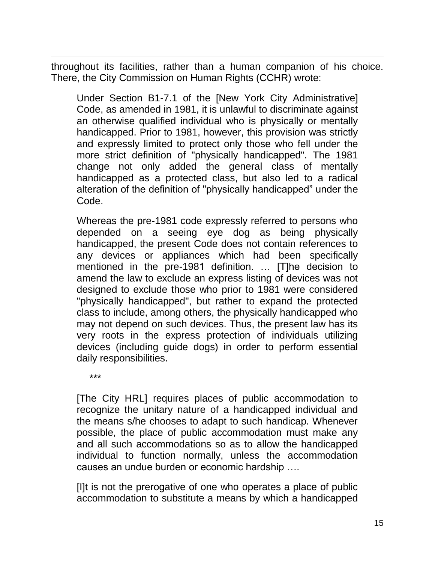throughout its facilities, rather than a human companion of his choice. There, the City Commission on Human Rights (CCHR) wrote:

Under Section B1-7.1 of the [New York City Administrative] Code, as amended in 1981, it is unlawful to discriminate against an otherwise qualified individual who is physically or mentally handicapped. Prior to 1981, however, this provision was strictly and expressly limited to protect only those who fell under the more strict definition of "physically handicapped". The 1981 change not only added the general class of mentally handicapped as a protected class, but also led to a radical alteration of the definition of "physically handicapped" under the Code.

Whereas the pre-1981 code expressly referred to persons who depended on a seeing eye dog as being physically handicapped, the present Code does not contain references to any devices or appliances which had been specifically mentioned in the pre-1981 definition. … [T]he decision to amend the law to exclude an express listing of devices was not designed to exclude those who prior to 1981 were considered "physically handicapped", but rather to expand the protected class to include, among others, the physically handicapped who may not depend on such devices. Thus, the present law has its very roots in the express protection of individuals utilizing devices (including guide dogs) in order to perform essential daily responsibilities.

\*\*\*

 $\overline{\phantom{a}}$ 

[The City HRL] requires places of public accommodation to recognize the unitary nature of a handicapped individual and the means s/he chooses to adapt to such handicap. Whenever possible, the place of public accommodation must make any and all such accommodations so as to allow the handicapped individual to function normally, unless the accommodation causes an undue burden or economic hardship ….

[I]t is not the prerogative of one who operates a place of public accommodation to substitute a means by which a handicapped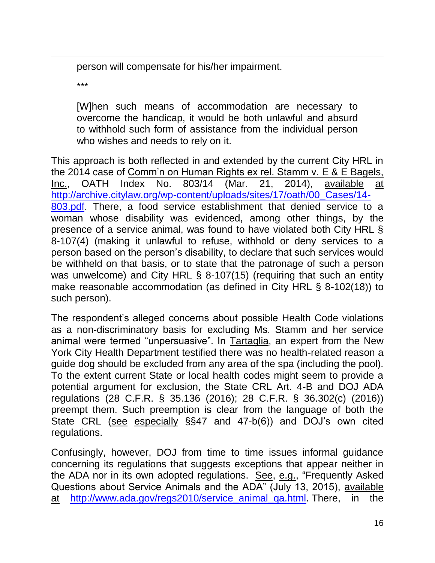person will compensate for his/her impairment.

\*\*\*

 $\overline{\phantom{a}}$ 

[W]hen such means of accommodation are necessary to overcome the handicap, it would be both unlawful and absurd to withhold such form of assistance from the individual person who wishes and needs to rely on it.

This approach is both reflected in and extended by the current City HRL in the 2014 case of Comm'n on Human Rights ex rel. Stamm v. E & E Bagels, Inc., OATH Index No. 803/14 (Mar. 21, 2014), available at [http://archive.citylaw.org/wp-content/uploads/sites/17/oath/00\\_Cases/14-](http://archive.citylaw.org/wp-content/uploads/sites/17/oath/00_Cases/14-803.pdf) [803.pdf.](http://archive.citylaw.org/wp-content/uploads/sites/17/oath/00_Cases/14-803.pdf) There, a food service establishment that denied service to a woman whose disability was evidenced, among other things, by the presence of a service animal, was found to have violated both City HRL § 8-107(4) (making it unlawful to refuse, withhold or deny services to a person based on the person's disability, to declare that such services would be withheld on that basis, or to state that the patronage of such a person was unwelcome) and City HRL § 8-107(15) (requiring that such an entity make reasonable accommodation (as defined in City HRL § 8-102(18)) to such person).

The respondent's alleged concerns about possible Health Code violations as a non-discriminatory basis for excluding Ms. Stamm and her service animal were termed "unpersuasive". In Tartaglia, an expert from the New York City Health Department testified there was no health-related reason a guide dog should be excluded from any area of the spa (including the pool). To the extent current State or local health codes might seem to provide a potential argument for exclusion, the State CRL Art. 4-B and DOJ ADA regulations (28 C.F.R. § 35.136 (2016); 28 C.F.R. § 36.302(c) (2016)) preempt them. Such preemption is clear from the language of both the State CRL (see especially §§47 and 47-b(6)) and DOJ's own cited regulations.

Confusingly, however, DOJ from time to time issues informal guidance concerning its regulations that suggests exceptions that appear neither in the ADA nor in its own adopted regulations. See, e.g., "Frequently Asked Questions about Service Animals and the ADA" (July 13, 2015), available at [http://www.ada.gov/regs2010/service\\_animal\\_qa.html.](http://www.ada.gov/regs2010/service_animal_qa.html) There, in the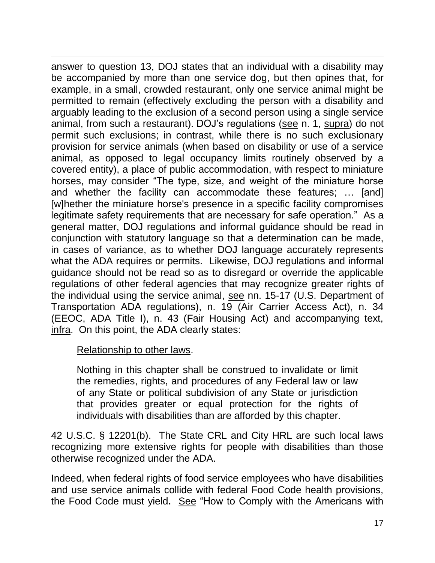$\overline{\phantom{a}}$ answer to question 13, DOJ states that an individual with a disability may be accompanied by more than one service dog, but then opines that, for example, in a small, crowded restaurant, only one service animal might be permitted to remain (effectively excluding the person with a disability and arguably leading to the exclusion of a second person using a single service animal, from such a restaurant). DOJ's regulations (see n. 1, supra) do not permit such exclusions; in contrast, while there is no such exclusionary provision for service animals (when based on disability or use of a service animal, as opposed to legal occupancy limits routinely observed by a covered entity), a place of public accommodation, with respect to miniature horses, may consider "The type, size, and weight of the miniature horse and whether the facility can accommodate these features; … [and] [w]hether the miniature horse's presence in a specific facility compromises legitimate safety requirements that are necessary for safe operation." As a general matter, DOJ regulations and informal guidance should be read in conjunction with statutory language so that a determination can be made, in cases of variance, as to whether DOJ language accurately represents what the ADA requires or permits. Likewise, DOJ regulations and informal guidance should not be read so as to disregard or override the applicable regulations of other federal agencies that may recognize greater rights of the individual using the service animal, see nn. 15-17 (U.S. Department of Transportation ADA regulations), n. 19 (Air Carrier Access Act), n. 34 (EEOC, ADA Title I), n. 43 (Fair Housing Act) and accompanying text, infra. On this point, the ADA clearly states:

#### Relationship to other laws.

Nothing in this chapter shall be construed to invalidate or limit the remedies, rights, and procedures of any Federal law or law of any State or political subdivision of any State or jurisdiction that provides greater or equal protection for the rights of individuals with disabilities than are afforded by this chapter.

42 U.S.C. § 12201(b). The State CRL and City HRL are such local laws recognizing more extensive rights for people with disabilities than those otherwise recognized under the ADA.

Indeed, when federal rights of food service employees who have disabilities and use service animals collide with federal Food Code health provisions, the Food Code must yield**.** See "How to Comply with the Americans with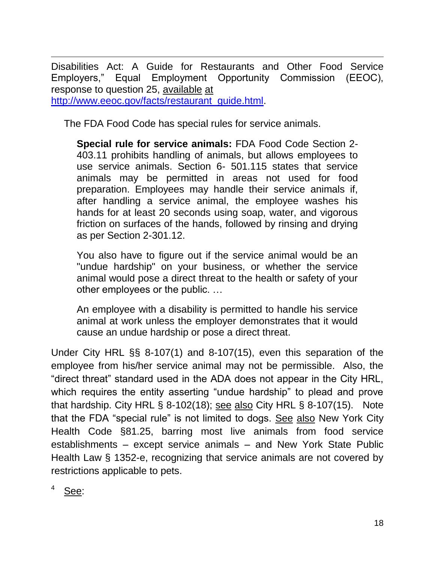$\overline{\phantom{a}}$ Disabilities Act: A Guide for Restaurants and Other Food Service Employers," Equal Employment Opportunity Commission (EEOC), response to question 25, available at [http://www.eeoc.gov/facts/restaurant\\_guide.html.](http://www.eeoc.gov/facts/restaurant_guide.html)

The FDA Food Code has special rules for service animals.

**Special rule for service animals:** FDA Food Code Section 2- 403.11 prohibits handling of animals, but allows employees to use service animals. Section 6- 501.115 states that service animals may be permitted in areas not used for food preparation. Employees may handle their service animals if, after handling a service animal, the employee washes his hands for at least 20 seconds using soap, water, and vigorous friction on surfaces of the hands, followed by rinsing and drying as per Section 2-301.12.

You also have to figure out if the service animal would be an "undue hardship" on your business, or whether the service animal would pose a direct threat to the health or safety of your other employees or the public. …

An employee with a disability is permitted to handle his service animal at work unless the employer demonstrates that it would cause an undue hardship or pose a direct threat.

Under City HRL §§ 8-107(1) and 8-107(15), even this separation of the employee from his/her service animal may not be permissible. Also, the "direct threat" standard used in the ADA does not appear in the City HRL, which requires the entity asserting "undue hardship" to plead and prove that hardship. City HRL  $\S$  8-102(18); see also City HRL  $\S$  8-107(15). Note that the FDA "special rule" is not limited to dogs. See also New York City Health Code §81.25, barring most live animals from food service establishments – except service animals – and New York State Public Health Law § 1352-e, recognizing that service animals are not covered by restrictions applicable to pets.

See: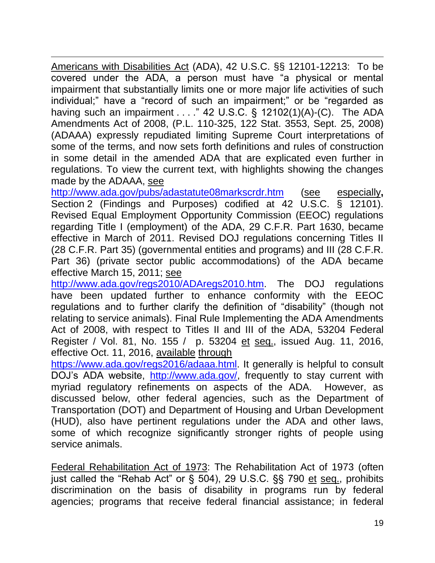$\overline{\phantom{a}}$ Americans with Disabilities Act (ADA), 42 U.S.C. §§ 12101-12213: To be covered under the ADA, a person must have "a physical or mental impairment that substantially limits one or more major life activities of such individual;" have a "record of such an impairment;" or be "regarded as having such an impairment . . . ." 42 U.S.C. § 12102(1)(A)-(C). The ADA Amendments Act of 2008, (P.L. 110-325, 122 Stat. 3553, Sept. 25, 2008) (ADAAA) expressly repudiated limiting Supreme Court interpretations of some of the terms, and now sets forth definitions and rules of construction in some detail in the amended ADA that are explicated even further in regulations. To view the current text, with highlights showing the changes made by the ADAAA, see

<http://www.ada.gov/pubs/adastatute08markscrdr.htm> (see especially**,**  Section 2 (Findings and Purposes) codified at 42 U.S.C. § 12101). Revised Equal Employment Opportunity Commission (EEOC) regulations regarding Title I (employment) of the ADA, 29 C.F.R. Part 1630, became effective in March of 2011. Revised DOJ regulations concerning Titles II (28 C.F.R. Part 35) (governmental entities and programs) and III (28 C.F.R. Part 36) (private sector public accommodations) of the ADA became effective March 15, 2011; see

[http://www.ada.gov/regs2010/ADAregs2010.htm.](http://www.ada.gov/regs2010/ADAregs2010.htm) The DOJ regulations have been updated further to enhance conformity with the EEOC regulations and to further clarify the definition of "disability" (though not relating to service animals). Final Rule Implementing the ADA Amendments Act of 2008, with respect to Titles II and III of the ADA, 53204 Federal Register / Vol. 81, No. 155 / p. 53204 et seq., issued Aug. 11, 2016, effective Oct. 11, 2016, available through

[https://www.ada.gov/regs2016/adaaa.html.](https://www.ada.gov/regs2016/adaaa.html) It generally is helpful to consult DOJ's ADA website, [http://www.ada.gov/,](http://www.ada.gov/) frequently to stay current with myriad regulatory refinements on aspects of the ADA. However, as discussed below, other federal agencies, such as the Department of Transportation (DOT) and Department of Housing and Urban Development (HUD), also have pertinent regulations under the ADA and other laws, some of which recognize significantly stronger rights of people using service animals.

Federal Rehabilitation Act of 1973: The [Rehabilitation Act of 1973](https://www.disability.gov/rehabilitation-act-1973/?warn_link=07c2d21f17c73900589efc69eaf043f2) (often just called the "Rehab Act" or § 504), 29 U.S.C. §§ 790 et seq., prohibits discrimination on the basis of disability in programs run by federal agencies; programs that receive federal financial assistance; in federal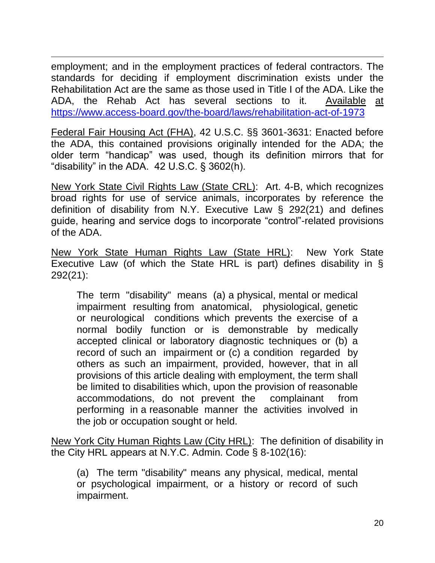$\overline{\phantom{a}}$ employment; and in the [employment practices of federal contractors.](http://www.dol.gov/ofccp/regs/compliance/faqs/503_faq.htm) The standards for deciding if [employment discrimination](http://www.eeoc.gov/facts/qanda.html) exists under the Rehabilitation Act are the same as those used in [Title I of the ADA.](http://www.eeoc.gov/eeoc/publications/fs-ada.cfm) Like the ADA, the Rehab Act has several sections to it. Available at <https://www.access-board.gov/the-board/laws/rehabilitation-act-of-1973>

Federal Fair Housing Act (FHA), 42 U.S.C. §§ 3601-3631: Enacted before the ADA, this contained provisions originally intended for the ADA; the older term "handicap" was used, though its definition mirrors that for "disability" in the ADA. 42 U.S.C. § 3602(h).

New York State Civil Rights Law (State CRL): Art. 4-B, which recognizes broad rights for use of service animals, incorporates by reference the definition of disability from N.Y. Executive Law § 292(21) and defines guide, hearing and service dogs to incorporate "control"-related provisions of the ADA.

New York State Human Rights Law (State HRL): New York State Executive Law (of which the State HRL is part) defines disability in § 292(21):

The term "disability" means (a) a physical, mental or medical impairment resulting from anatomical, physiological, genetic or neurological conditions which prevents the exercise of a normal bodily function or is demonstrable by medically accepted clinical or laboratory diagnostic techniques or (b) a record of such an impairment or (c) a condition regarded by others as such an impairment, provided, however, that in all provisions of this article dealing with employment, the term shall be limited to disabilities which, upon the provision of reasonable accommodations, do not prevent the complainant from performing in a reasonable manner the activities involved in the job or occupation sought or held.

New York City Human Rights Law (City HRL): The definition of disability in the City HRL appears at N.Y.C. Admin. Code § 8-102(16):

(a) The term "disability" means any physical, medical, mental or psychological impairment, or a history or record of such impairment.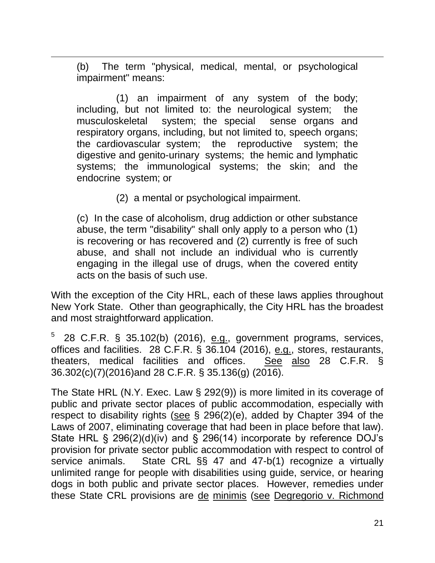(b) The term "physical, medical, mental, or psychological impairment" means:

 $\overline{\phantom{a}}$ 

 (1) an impairment of any system of the body; including, but not limited to: the neurological system; the musculoskeletal system; the special sense organs and respiratory organs, including, but not limited to, speech organs; the cardiovascular system; the reproductive system; the digestive and genito-urinary systems; the hemic and lymphatic systems; the immunological systems; the skin; and the endocrine system; or

(2) a mental or psychological impairment.

(c) In the case of alcoholism, drug addiction or other substance abuse, the term "disability" shall only apply to a person who (1) is recovering or has recovered and (2) currently is free of such abuse, and shall not include an individual who is currently engaging in the illegal use of drugs, when the covered entity acts on the basis of such use.

With the exception of the City HRL, each of these laws applies throughout New York State. Other than geographically, the City HRL has the broadest and most straightforward application.

5 28 C.F.R. § 35.102(b) (2016), e.g., government programs, services, offices and facilities. 28 C.F.R. § 36.104 (2016), e.g., stores, restaurants, theaters, medical facilities and offices. See also 28 C.F.R. § 36.302(c)(7)(2016)and 28 C.F.R. § 35.136(g) (2016).

The State HRL (N.Y. Exec. Law § 292(9)) is more limited in its coverage of public and private sector places of public accommodation, especially with respect to disability rights (see § 296(2)(e), added by Chapter 394 of the Laws of 2007, eliminating coverage that had been in place before that law). State HRL § 296(2)(d)(iv) and § 296(14) incorporate by reference DOJ's provision for private sector public accommodation with respect to control of service animals. State CRL §§ 47 and 47-b(1) recognize a virtually unlimited range for people with disabilities using guide, service, or hearing dogs in both public and private sector places. However, remedies under these State CRL provisions are de minimis (see Degregorio v. Richmond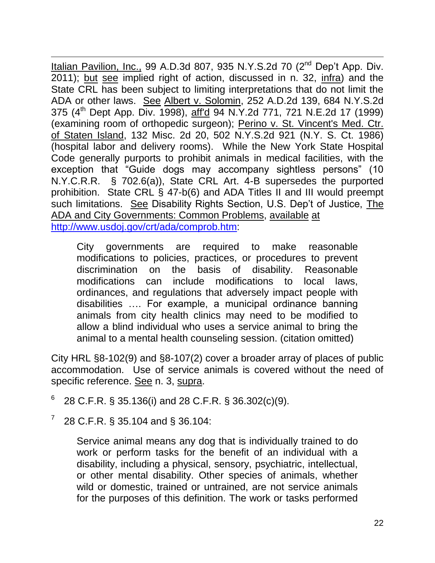$\overline{\phantom{a}}$ Italian Pavilion, Inc., 99 A.D.3d 807, 935 N.Y.S.2d 70 (2<sup>nd</sup> Dep't App. Div. 2011); but see implied right of action, discussed in n. 32, infra) and the State CRL has been subject to limiting interpretations that do not limit the ADA or other laws. See Albert v. Solomin, 252 A.D.2d 139, 684 N.Y.S.2d 375 (4<sup>th</sup> Dept App. Div. 1998), aff'd 94 N.Y.2d 771, 721 N.E.2d 17 (1999) (examining room of orthopedic surgeon); Perino v. St. Vincent's Med. Ctr. of Staten Island, 132 Misc. 2d 20, 502 N.Y.S.2d 921 (N.Y. S. Ct. 1986) (hospital labor and delivery rooms). While the New York State Hospital Code generally purports to prohibit animals in medical facilities, with the exception that "Guide dogs may accompany sightless persons" (10 N.Y.C.R.R. § 702.6(a)), State CRL Art. 4-B supersedes the purported prohibition. State CRL § 47-b(6) and ADA Titles II and III would preempt such limitations. See Disability Rights Section, U.S. Dep't of Justice, The ADA and City Governments: Common Problems, available at [http://www.usdoj.gov/crt/ada/comprob.htm:](http://www.usdoj.gov/crt/ada/comprob.htm)

City governments are required to make reasonable modifications to policies, practices, or procedures to prevent discrimination on the basis of disability. Reasonable modifications can include modifications to local laws, ordinances, and regulations that adversely impact people with disabilities …. For example, a municipal ordinance banning animals from city health clinics may need to be modified to allow a blind individual who uses a service animal to bring the animal to a mental health counseling session. (citation omitted)

City HRL §8-102(9) and §8-107(2) cover a broader array of places of public accommodation. Use of service animals is covered without the need of specific reference. See n. 3, supra.

- 6 28 C.F.R. § 35.136(i) and 28 C.F.R. § 36.302(c)(9).
- 7 28 C.F.R. § 35.104 and § 36.104:

Service animal means any dog that is individually trained to do work or perform tasks for the benefit of an individual with a disability, including a physical, sensory, psychiatric, intellectual, or other mental disability. Other species of animals, whether wild or domestic, trained or untrained, are not service animals for the purposes of this definition. The work or tasks performed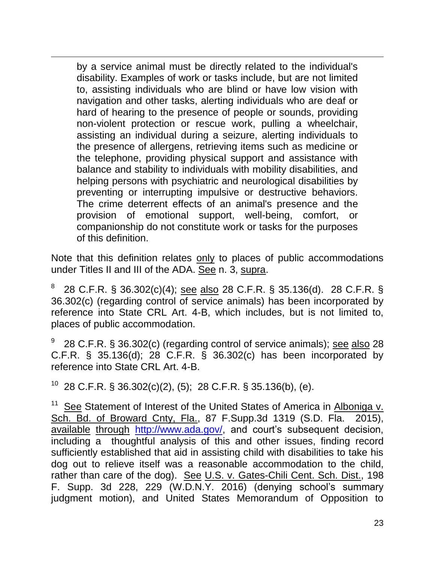by a service animal must be directly related to the individual's disability. Examples of work or tasks include, but are not limited to, assisting individuals who are blind or have low vision with navigation and other tasks, alerting individuals who are deaf or hard of hearing to the presence of people or sounds, providing non-violent protection or rescue work, pulling a wheelchair, assisting an individual during a seizure, alerting individuals to the presence of allergens, retrieving items such as medicine or the telephone, providing physical support and assistance with balance and stability to individuals with mobility disabilities, and helping persons with psychiatric and neurological disabilities by preventing or interrupting impulsive or destructive behaviors. The crime deterrent effects of an animal's presence and the provision of emotional support, well-being, comfort, or companionship do not constitute work or tasks for the purposes of this definition.

 $\overline{\phantom{a}}$ 

Note that this definition relates only to places of public accommodations under Titles II and III of the ADA. See n. 3, supra.

8 28 C.F.R. § 36.302(c)(4); see also 28 C.F.R. § 35.136(d). 28 C.F.R. § 36.302(c) (regarding control of service animals) has been incorporated by reference into State CRL Art. 4-B, which includes, but is not limited to, places of public accommodation.

9 28 C.F.R. § 36.302(c) (regarding control of service animals); see also 28 C.F.R. § 35.136(d); 28 C.F.R. § 36.302(c) has been incorporated by reference into State CRL Art. 4-B.

 $10\,$  28 C.F.R. § 36.302(c)(2), (5); 28 C.F.R. § 35.136(b), (e).

<sup>11</sup> See Statement of Interest of the United States of America in Alboniga v. Sch. Bd. of Broward Cnty, Fla., 87 F.Supp.3d 1319 (S.D. Fla. 2015), available through [http://www.ada.gov/,](http://www.ada.gov/) and court's subsequent decision, including a thoughtful analysis of this and other issues, finding record sufficiently established that aid in assisting child with disabilities to take his dog out to relieve itself was a reasonable accommodation to the child, rather than care of the dog). See U.S. v. Gates-Chili Cent. Sch. Dist., 198 F. Supp. 3d 228, 229 (W.D.N.Y. 2016) (denying school's summary judgment motion), and United States Memorandum of Opposition to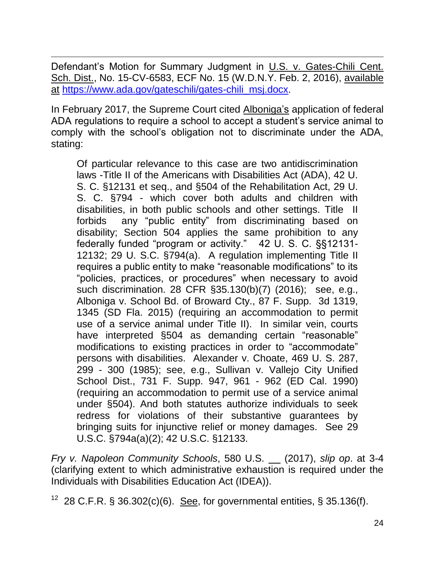$\overline{\phantom{a}}$ Defendant's Motion for Summary Judgment in U.S. v. Gates-Chili Cent. Sch. Dist., No. 15-CV-6583, ECF No. 15 (W.D.N.Y. Feb. 2, 2016), available at [https://www.ada.gov/gateschili/gates-chili\\_msj.docx.](https://www.ada.gov/gateschili/gates-chili_msj.docx)

In February 2017, the Supreme Court cited Alboniga's application of federal ADA regulations to require a school to accept a student's service animal to comply with the school's obligation not to discriminate under the ADA, stating:

Of particular relevance to this case are two antidiscrimination laws -Title II of the Americans with Disabilities Act (ADA), 42 U. S. C. §12131 et seq., and §504 of the Rehabilitation Act, 29 U. S. C. §794 - which cover both adults and children with disabilities, in both public schools and other settings. Title II forbids any "public entity" from discriminating based on disability; Section 504 applies the same prohibition to any federally funded "program or activity." 42 U. S. C. §§12131- 12132; 29 U. S.C. §794(a). A regulation implementing Title II requires a public entity to make "reasonable modifications" to its "policies, practices, or procedures" when necessary to avoid such discrimination. 28 CFR §35.130(b)(7) (2016); see, e.g., Alboniga v. School Bd. of Broward Cty., 87 F. Supp. 3d 1319, 1345 (SD Fla. 2015) (requiring an accommodation to permit use of a service animal under Title II). In similar vein, courts have interpreted §504 as demanding certain "reasonable" modifications to existing practices in order to "accommodate" persons with disabilities. Alexander v. Choate, 469 U. S. 287, 299 - 300 (1985); see, e.g., Sullivan v. Vallejo City Unified School Dist., 731 F. Supp. 947, 961 - 962 (ED Cal. 1990) (requiring an accommodation to permit use of a service animal under §504). And both statutes authorize individuals to seek redress for violations of their substantive guarantees by bringing suits for injunctive relief or money damages. See 29 U.S.C. §794a(a)(2); 42 U.S.C. §12133.

*Fry v. Napoleon Community Schools*, 580 U.S. (2017), *slip op*. at 3-4 (clarifying extent to which administrative exhaustion is required under the Individuals with Disabilities Education Act (IDEA)).

28 C.F.R. § 36.302(c)(6). See, for governmental entities, § 35.136(f).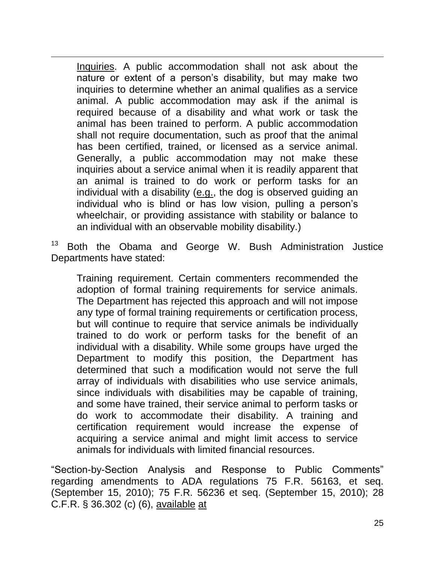Inquiries. A public accommodation shall not ask about the nature or extent of a person's disability, but may make two inquiries to determine whether an animal qualifies as a service animal. A public accommodation may ask if the animal is required because of a disability and what work or task the animal has been trained to perform. A public accommodation shall not require documentation, such as proof that the animal has been certified, trained, or licensed as a service animal. Generally, a public accommodation may not make these inquiries about a service animal when it is readily apparent that an animal is trained to do work or perform tasks for an individual with a disability (e.g., the dog is observed guiding an individual who is blind or has low vision, pulling a person's wheelchair, or providing assistance with stability or balance to an individual with an observable mobility disability.)

 $\overline{\phantom{a}}$ 

 $13$  Both the Obama and George W. Bush Administration Justice Departments have stated:

Training requirement. Certain commenters recommended the adoption of formal training requirements for service animals. The Department has rejected this approach and will not impose any type of formal training requirements or certification process, but will continue to require that service animals be individually trained to do work or perform tasks for the benefit of an individual with a disability. While some groups have urged the Department to modify this position, the Department has determined that such a modification would not serve the full array of individuals with disabilities who use service animals, since individuals with disabilities may be capable of training, and some have trained, their service animal to perform tasks or do work to accommodate their disability. A training and certification requirement would increase the expense of acquiring a service animal and might limit access to service animals for individuals with limited financial resources.

"Section-by-Section Analysis and Response to Public Comments" regarding amendments to ADA regulations 75 F.R. 56163, et seq. (September 15, 2010); 75 F.R. 56236 et seq. (September 15, 2010); 28 C.F.R. § 36.302 (c) (6), available at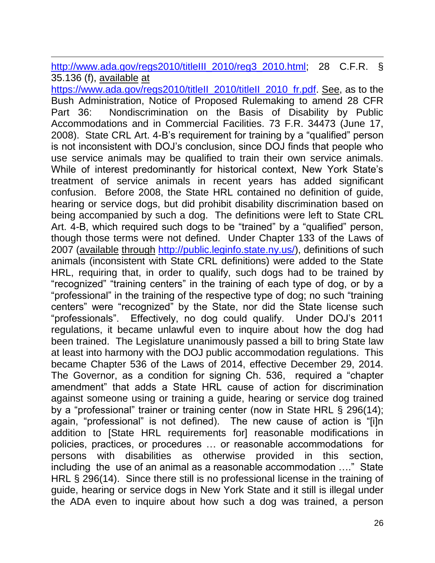$\overline{\phantom{a}}$ [http://www.ada.gov/regs2010/titleIII\\_2010/reg3\\_2010.html;](http://www.ada.gov/regs2010/titleIII_2010/reg3_2010.html) 28 C.F.R. § 35.136 (f), available at

[https://www.ada.gov/regs2010/titleII\\_2010/titleII\\_2010\\_fr.pdf.](https://www.ada.gov/regs2010/titleII_2010/titleII_2010_fr.pdf) See, as to the Bush Administration, Notice of Proposed Rulemaking to amend 28 CFR Part 36: Nondiscrimination on the Basis of Disability by Public Accommodations and in Commercial Facilities. 73 F.R. 34473 (June 17, 2008). State CRL Art. 4-B's requirement for training by a "qualified" person is not inconsistent with DOJ's conclusion, since DOJ finds that people who use service animals may be qualified to train their own service animals. While of interest predominantly for historical context, New York State's treatment of service animals in recent years has added significant confusion. Before 2008, the State HRL contained no definition of guide, hearing or service dogs, but did prohibit disability discrimination based on being accompanied by such a dog. The definitions were left to State CRL Art. 4-B, which required such dogs to be "trained" by a "qualified" person, though those terms were not defined. Under Chapter 133 of the Laws of 2007 (available through [http://public.leginfo.state.ny.us/\)](http://public.leginfo.state.ny.us/), definitions of such animals (inconsistent with State CRL definitions) were added to the State HRL, requiring that, in order to qualify, such dogs had to be trained by "recognized" "training centers" in the training of each type of dog, or by a "professional" in the training of the respective type of dog; no such "training centers" were "recognized" by the State, nor did the State license such "professionals". Effectively, no dog could qualify. Under DOJ's 2011 regulations, it became unlawful even to inquire about how the dog had been trained. The Legislature unanimously passed a bill to bring State law at least into harmony with the DOJ public accommodation regulations. This became Chapter 536 of the Laws of 2014, effective December 29, 2014. The Governor, as a condition for signing Ch. 536, required a "chapter amendment" that adds a State HRL cause of action for discrimination against someone using or training a guide, hearing or service dog trained by a "professional" trainer or training center (now in State HRL § 296(14); again, "professional" is not defined). The new cause of action is "[i]n addition to [State HRL requirements for] reasonable modifications in policies, practices, or procedures … or reasonable accommodations for persons with disabilities as otherwise provided in this section, including the use of an animal as a reasonable accommodation …." State HRL § 296(14). Since there still is no professional license in the training of guide, hearing or service dogs in New York State and it still is illegal under the ADA even to inquire about how such a dog was trained, a person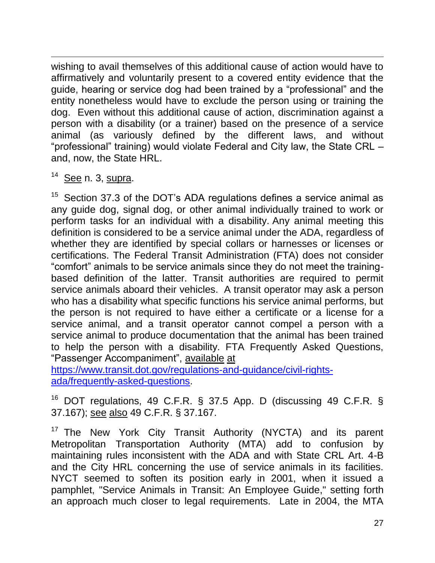$\overline{\phantom{a}}$ wishing to avail themselves of this additional cause of action would have to affirmatively and voluntarily present to a covered entity evidence that the guide, hearing or service dog had been trained by a "professional" and the entity nonetheless would have to exclude the person using or training the dog. Even without this additional cause of action, discrimination against a person with a disability (or a trainer) based on the presence of a service animal (as variously defined by the different laws, and without "professional" training) would violate Federal and City law, the State CRL – and, now, the State HRL.

 $14$  See n. 3, supra.

 $15$  Section 37.3 of the DOT's ADA regulations defines a service animal as any guide dog, signal dog, or other animal individually trained to work or perform tasks for an individual with a disability. Any animal meeting this definition is considered to be a service animal under the ADA, regardless of whether they are identified by special collars or harnesses or licenses or certifications. The Federal Transit Administration (FTA) does not consider "comfort" animals to be service animals since they do not meet the trainingbased definition of the latter. Transit authorities are required to permit service animals aboard their vehicles. A transit operator may ask a person who has a disability what specific functions his service animal performs, but the person is not required to have either a certificate or a license for a service animal, and a transit operator cannot compel a person with a service animal to produce documentation that the animal has been trained to help the person with a disability. FTA Frequently Asked Questions, "Passenger Accompaniment", available at

[https://www.transit.dot.gov/regulations-and-guidance/civil-rights](https://www.transit.dot.gov/regulations-and-guidance/civil-rights-ada/frequently-asked-questions)[ada/frequently-asked-questions.](https://www.transit.dot.gov/regulations-and-guidance/civil-rights-ada/frequently-asked-questions)

<sup>16</sup> DOT regulations, 49 C.F.R. § 37.5 App. D (discussing 49 C.F.R. § 37.167); see also 49 C.F.R. § 37.167.

<sup>17</sup> The New York City Transit Authority (NYCTA) and its parent Metropolitan Transportation Authority (MTA) add to confusion by maintaining rules inconsistent with the ADA and with State CRL Art. 4-B and the City HRL concerning the use of service animals in its facilities. NYCT seemed to soften its position early in 2001, when it issued a pamphlet, "Service Animals in Transit: An Employee Guide," setting forth an approach much closer to legal requirements. Late in 2004, the MTA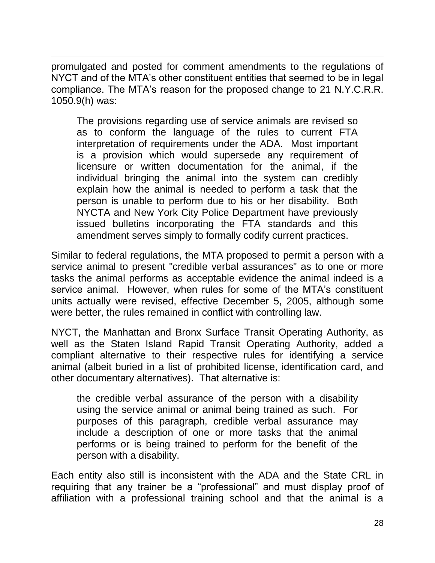promulgated and posted for comment amendments to the regulations of NYCT and of the MTA's other constituent entities that seemed to be in legal compliance. The MTA's reason for the proposed change to 21 N.Y.C.R.R. 1050.9(h) was:

 $\overline{\phantom{a}}$ 

The provisions regarding use of service animals are revised so as to conform the language of the rules to current FTA interpretation of requirements under the ADA. Most important is a provision which would supersede any requirement of licensure or written documentation for the animal, if the individual bringing the animal into the system can credibly explain how the animal is needed to perform a task that the person is unable to perform due to his or her disability. Both NYCTA and New York City Police Department have previously issued bulletins incorporating the FTA standards and this amendment serves simply to formally codify current practices.

Similar to federal regulations, the MTA proposed to permit a person with a service animal to present "credible verbal assurances" as to one or more tasks the animal performs as acceptable evidence the animal indeed is a service animal. However, when rules for some of the MTA's constituent units actually were revised, effective December 5, 2005, although some were better, the rules remained in conflict with controlling law.

NYCT, the Manhattan and Bronx Surface Transit Operating Authority, as well as the Staten Island Rapid Transit Operating Authority, added a compliant alternative to their respective rules for identifying a service animal (albeit buried in a list of prohibited license, identification card, and other documentary alternatives). That alternative is:

the credible verbal assurance of the person with a disability using the service animal or animal being trained as such. For purposes of this paragraph, credible verbal assurance may include a description of one or more tasks that the animal performs or is being trained to perform for the benefit of the person with a disability.

Each entity also still is inconsistent with the ADA and the State CRL in requiring that any trainer be a "professional" and must display proof of affiliation with a professional training school and that the animal is a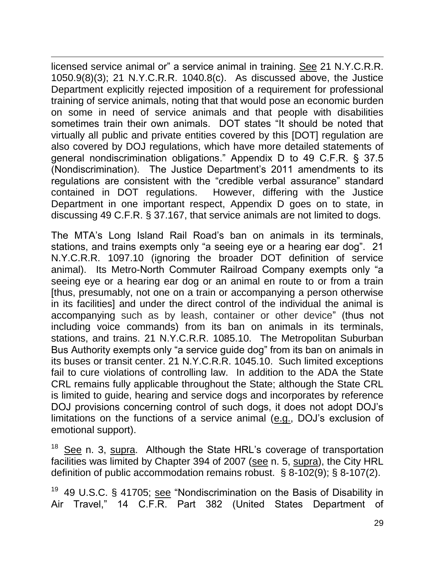$\overline{\phantom{a}}$ licensed service animal or" a service animal in training. See 21 N.Y.C.R.R. 1050.9(8)(3); 21 N.Y.C.R.R. 1040.8(c). As discussed above, the Justice Department explicitly rejected imposition of a requirement for professional training of service animals, noting that that would pose an economic burden on some in need of service animals and that people with disabilities sometimes train their own animals. DOT states "It should be noted that virtually all public and private entities covered by this [DOT] regulation are also covered by DOJ regulations, which have more detailed statements of general nondiscrimination obligations." Appendix D to 49 C.F.R. § 37.5 (Nondiscrimination). The Justice Department's 2011 amendments to its regulations are consistent with the "credible verbal assurance" standard contained in DOT regulations. However, differing with the Justice Department in one important respect, Appendix D goes on to state, in discussing 49 C.F.R. § 37.167, that service animals are not limited to dogs.

The MTA's Long Island Rail Road's ban on animals in its terminals, stations, and trains exempts only "a seeing eye or a hearing ear dog". 21 N.Y.C.R.R. 1097.10 (ignoring the broader DOT definition of service animal). Its Metro-North Commuter Railroad Company exempts only "a seeing eye or a hearing ear dog or an animal en route to or from a train [thus, presumably, not one on a train or accompanying a person otherwise in its facilities] and under the direct control of the individual the animal is accompanying such as by leash, container or other device" (thus not including voice commands) from its ban on animals in its terminals, stations, and trains. 21 N.Y.C.R.R. 1085.10. The Metropolitan Suburban Bus Authority exempts only "a service guide dog" from its ban on animals in its buses or transit center. 21 N.Y.C.R.R. 1045.10. Such limited exceptions fail to cure violations of controlling law. In addition to the ADA the State CRL remains fully applicable throughout the State; although the State CRL is limited to guide, hearing and service dogs and incorporates by reference DOJ provisions concerning control of such dogs, it does not adopt DOJ's limitations on the functions of a service animal (e.g., DOJ's exclusion of emotional support).

<sup>18</sup> See n. 3, supra. Although the State HRL's coverage of transportation facilities was limited by Chapter 394 of 2007 (see n. 5, supra), the City HRL definition of public accommodation remains robust. § 8-102(9); § 8-107(2).

<sup>19</sup> 49 U.S.C. § 41705; see "Nondiscrimination on the Basis of Disability in Air Travel," 14 C.F.R. Part 382 (United States Department of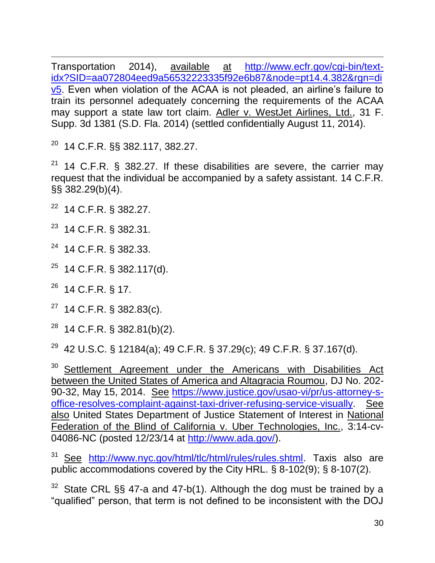$\overline{\phantom{a}}$ Transportation 2014), available at [http://www.ecfr.gov/cgi-bin/text](http://www.ecfr.gov/cgi-bin/text-idx?SID=aa072804eed9a56532223335f92e6b87&node=pt14.4.382&rgn=div5)[idx?SID=aa072804eed9a56532223335f92e6b87&node=pt14.4.382&rgn=di](http://www.ecfr.gov/cgi-bin/text-idx?SID=aa072804eed9a56532223335f92e6b87&node=pt14.4.382&rgn=div5) [v5.](http://www.ecfr.gov/cgi-bin/text-idx?SID=aa072804eed9a56532223335f92e6b87&node=pt14.4.382&rgn=div5) Even when violation of the ACAA is not pleaded, an airline's failure to train its personnel adequately concerning the requirements of the ACAA may support a state law tort claim. Adler v. WestJet Airlines, Ltd., 31 F. Supp. 3d 1381 (S.D. Fla. 2014) (settled confidentially August 11, 2014).

<sup>20</sup> 14 C.F.R. §§ 382.117, 382.27.

 $21$  14 C.F.R. § 382.27. If these disabilities are severe, the carrier may request that the individual be accompanied by a safety assistant. 14 C.F.R. §§ 382.29(b)(4).

<sup>22</sup> 14 C.F.R. § 382.27.

<sup>23</sup> 14 C.F.R. § 382.31.

<sup>24</sup> 14 C.F.R. § 382.33.

 $25$  14 C.F.R. § 382.117(d).

<sup>26</sup> 14 C.F.R. § 17.

 $27$  14 C.F.R. § 382.83(c).

 $28$  14 C.F.R. § 382.81(b)(2).

<sup>29</sup> 42 U.S.C. § 12184(a); 49 C.F.R. § 37.29(c); 49 C.F.R. § 37.167(d).

<sup>30</sup> Settlement Agreement under the Americans with Disabilities Act between the United States of America and Altagracia Roumou, DJ No. 202- 90-32, May 15, 2014. See [https://www.justice.gov/usao-vi/pr/us-attorney-s](https://www.justice.gov/usao-vi/pr/us-attorney-s-office-resolves-complaint-against-taxi-driver-refusing-service-visually)[office-resolves-complaint-against-taxi-driver-refusing-service-visually.](https://www.justice.gov/usao-vi/pr/us-attorney-s-office-resolves-complaint-against-taxi-driver-refusing-service-visually) See also United States Department of Justice Statement of Interest in National Federation of the Blind of California v. Uber Technologies, Inc., 3:14-cv-04086-NC (posted 12/23/14 at [http://www.ada.gov/\)](http://www.ada.gov/).

<sup>31</sup> See [http://www.nyc.gov/html/tlc/html/rules/rules.shtml.](http://www.nyc.gov/html/tlc/html/rules/rules.shtml) Taxis also are public accommodations covered by the City HRL. § 8-102(9); § 8-107(2).

 $32$  State CRL §§ 47-a and 47-b(1). Although the dog must be trained by a "qualified" person, that term is not defined to be inconsistent with the DOJ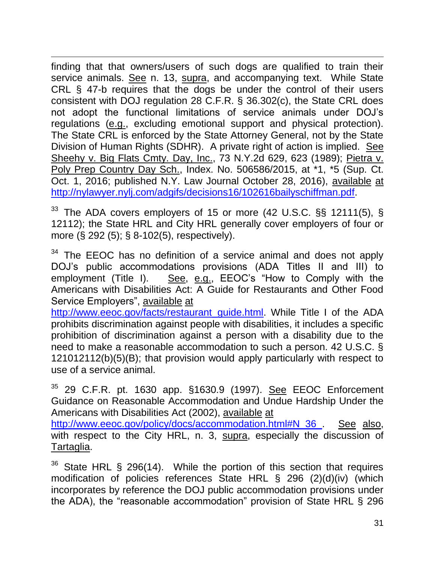$\overline{\phantom{a}}$ finding that that owners/users of such dogs are qualified to train their service animals. See n. 13, supra, and accompanying text. While State CRL § 47-b requires that the dogs be under the control of their users consistent with DOJ regulation 28 C.F.R. § 36.302(c), the State CRL does not adopt the functional limitations of service animals under DOJ's regulations (e.g., excluding emotional support and physical protection). The State CRL is enforced by the State Attorney General, not by the State Division of Human Rights (SDHR). A private right of action is implied. See Sheehy v. Big Flats Cmty. Day, Inc., 73 N.Y.2d 629, 623 (1989); Pietra v. Poly Prep Country Day Sch., Index. No. 506586/2015, at \*1, \*5 (Sup. Ct. Oct. 1, 2016; published N.Y. Law Journal October 28, 2016), available at [http://nylawyer.nylj.com/adgifs/decisions16/102616bailyschiffman.pdf.](http://nylawyer.nylj.com/adgifs/decisions16/102616bailyschiffman.pdf)

 $33$  The ADA covers employers of 15 or more (42 U.S.C. §§ 12111(5), § 12112); the State HRL and City HRL generally cover employers of four or more (§ 292 (5); § 8-102(5), respectively).

<sup>34</sup> The EEOC has no definition of a service animal and does not apply DOJ's public accommodations provisions (ADA Titles II and III) to employment (Title I). See, e.g., EEOC's "How to Comply with the Americans with Disabilities Act: A Guide for Restaurants and Other Food Service Employers", available at

[http://www.eeoc.gov/facts/restaurant\\_guide.html.](http://www.eeoc.gov/facts/restaurant_guide.html) While Title I of the ADA prohibits discrimination against people with disabilities, it includes a specific prohibition of discrimination against a person with a disability due to the need to make a reasonable accommodation to such a person. 42 U.S.C. § 121012112(b)(5)(B); that provision would apply particularly with respect to use of a service animal.

29 C.F.R. pt. 1630 app. §1630.9 (1997). See EEOC Enforcement Guidance on Reasonable Accommodation and Undue Hardship Under the Americans with Disabilities Act (2002), available at

[http://www.eeoc.gov/policy/docs/accommodation.html#N\\_36\\_.](http://www.eeoc.gov/policy/docs/accommodation.html#N_36_) See also, with respect to the City HRL, n. 3, supra, especially the discussion of Tartaglia.

 $36$  State HRL § 296(14). While the portion of this section that requires modification of policies references State HRL § 296 (2)(d)(iv) (which incorporates by reference the DOJ public accommodation provisions under the ADA), the "reasonable accommodation" provision of State HRL § 296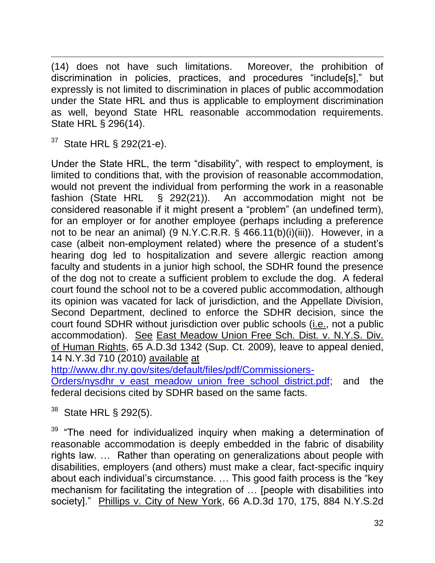$\overline{\phantom{a}}$ (14) does not have such limitations. Moreover, the prohibition of discrimination in policies, practices, and procedures "include[s]," but expressly is not limited to discrimination in places of public accommodation under the State HRL and thus is applicable to employment discrimination as well, beyond State HRL reasonable accommodation requirements. State HRL § 296(14).

<sup>37</sup> State HRL § 292(21-e).

Under the State HRL, the term "disability", with respect to employment, is limited to conditions that, with the provision of reasonable accommodation, would not prevent the individual from performing the work in a reasonable fashion (State HRL § 292(21)). An accommodation might not be considered reasonable if it might present a "problem" (an undefined term), for an employer or for another employee (perhaps including a preference not to be near an animal) (9 N.Y.C.R.R. § 466.11(b)(i)(iii)). However, in a case (albeit non-employment related) where the presence of a student's hearing dog led to hospitalization and severe allergic reaction among faculty and students in a junior high school, the SDHR found the presence of the dog not to create a sufficient problem to exclude the dog. A federal court found the school not to be a covered public accommodation, although its opinion was vacated for lack of jurisdiction, and the Appellate Division, Second Department, declined to enforce the SDHR decision, since the court found SDHR without jurisdiction over public schools (i.e., not a public accommodation). See East Meadow Union Free Sch. Dist. v. N.Y.S. Div. of Human Rights, 65 A.D.3d 1342 (Sup. Ct. 2009), leave to appeal denied, 14 N.Y.3d 710 (2010) available at

[http://www.dhr.ny.gov/sites/default/files/pdf/Commissioners-](http://www.dhr.ny.gov/sites/default/files/pdf/Commissioners-Orders/nysdhr_v_east_meadow_union_free_school_district.pdf)

[Orders/nysdhr\\_v\\_east\\_meadow\\_union\\_free\\_school\\_district.pdf;](http://www.dhr.ny.gov/sites/default/files/pdf/Commissioners-Orders/nysdhr_v_east_meadow_union_free_school_district.pdf) and the federal decisions cited by SDHR based on the same facts.

State HRL § 292(5).

<sup>39</sup> "The need for individualized inquiry when making a determination of reasonable accommodation is deeply embedded in the fabric of disability rights law. … Rather than operating on generalizations about people with disabilities, employers (and others) must make a clear, fact-specific inquiry about each individual's circumstance. … This good faith process is the "key mechanism for facilitating the integration of … [people with disabilities into society]." Phillips v. City of New York, 66 A.D.3d 170, 175, 884 N.Y.S.2d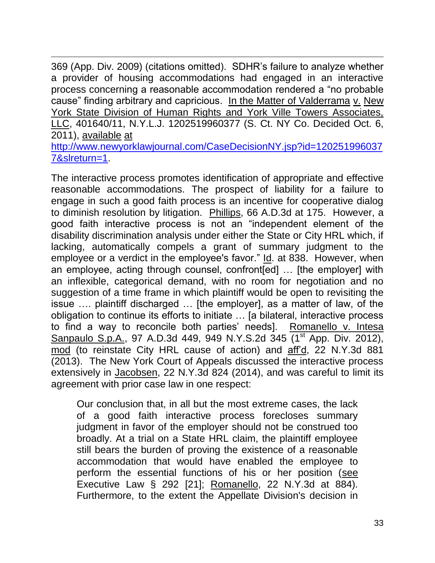$\overline{\phantom{a}}$ 369 (App. Div. 2009) (citations omitted). SDHR's failure to analyze whether a provider of housing accommodations had engaged in an interactive process concerning a reasonable accommodation rendered a "no probable cause" finding arbitrary and capricious. In the Matter of Valderrama v. New York State Division of Human Rights and York Ville Towers Associates, LLC, 401640/11, N.Y.L.J. 1202519960377 (S. Ct. NY Co. Decided Oct. 6, 2011), available at [http://www.newyorklawjournal.com/CaseDecisionNY.jsp?id=120251996037](http://www.newyorklawjournal.com/CaseDecisionNY.jsp?id=1202519960377&slreturn=1) [7&slreturn=1.](http://www.newyorklawjournal.com/CaseDecisionNY.jsp?id=1202519960377&slreturn=1)

The interactive process promotes identification of appropriate and effective reasonable accommodations. The prospect of liability for a failure to engage in such a good faith process is an incentive for cooperative dialog to diminish resolution by litigation. Phillips, 66 A.D.3d at 175. However, a good faith interactive process is not an "independent element of the disability discrimination analysis under either the State or City HRL which, if lacking, automatically compels a grant of summary judgment to the employee or a verdict in the employee's favor." Id. at 838. However, when an employee, acting through counsel, confront[ed] … [the employer] with an inflexible, categorical demand, with no room for negotiation and no suggestion of a time frame in which plaintiff would be open to revisiting the issue …. plaintiff discharged … [the employer], as a matter of law, of the obligation to continue its efforts to initiate … [a bilateral, interactive process to find a way to reconcile both parties' needs]. Romanello v. Intesa Sanpaulo S.p.A., 97 A.D.3d 449, 949 N.Y.S.2d 345 (1<sup>st</sup> App. Div. 2012), mod (to reinstate City HRL cause of action) and aff'd, 22 N.Y.3d 881 (2013). The New York Court of Appeals discussed the interactive process extensively in Jacobsen, 22 N.Y.3d 824 (2014), and was careful to limit its agreement with prior case law in one respect:

Our conclusion that, in all but the most extreme cases, the lack of a good faith interactive process forecloses summary judgment in favor of the employer should not be construed too broadly. At a trial on a State HRL claim, the plaintiff employee still bears the burden of proving the existence of a reasonable accommodation that would have enabled the employee to perform the essential functions of his or her position (see [Executive Law § 292](http://www.loislaw.com.dbgateway.nysed.gov/pns/doclink.htp?dockey=18710465@NYCODE&alias=NYCODE&cite=292+Exec.) [21]; Romanello, 22 N.Y.3d at 884). Furthermore, to the extent the Appellate Division's decision in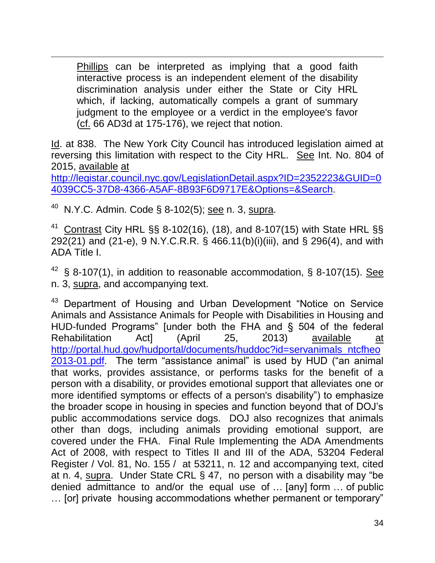Phillips can be interpreted as implying that a good faith interactive process is an independent element of the disability discrimination analysis under either the State or City HRL which, if lacking, automatically compels a grant of summary judgment to the employee or a verdict in the employee's favor (cf. 66 AD3d at 175-176), we reject that notion.

Id. at 838. The New York City Council has introduced legislation aimed at reversing this limitation with respect to the City HRL. See Int. No. 804 of 2015, available at

[http://legistar.council.nyc.gov/LegislationDetail.aspx?ID=2352223&GUID=0](http://legistar.council.nyc.gov/LegislationDetail.aspx?ID=2352223&GUID=04039CC5-37D8-4366-A5AF-8B93F6D9717E&Options=&Search) [4039CC5-37D8-4366-A5AF-8B93F6D9717E&Options=&Search.](http://legistar.council.nyc.gov/LegislationDetail.aspx?ID=2352223&GUID=04039CC5-37D8-4366-A5AF-8B93F6D9717E&Options=&Search)

 $40$  N.Y.C. Admin. Code § 8-102(5); see n. 3, supra.

 $\overline{\phantom{a}}$ 

<sup>41</sup> Contrast City HRL §§ 8-102(16), (18), and 8-107(15) with State HRL §§ 292(21) and (21-e), 9 N.Y.C.R.R. § 466.11(b)(i)(iii), and § 296(4), and with ADA Title I.

 $42\,$  § 8-107(1), in addition to reasonable accommodation, § 8-107(15). See n. 3, supra, and accompanying text.

<sup>43</sup> Department of Housing and Urban Development "Notice on Service Animals and Assistance Animals for People with Disabilities in Housing and HUD-funded Programs" [under both the FHA and § 504 of the federal Rehabilitation Act] (April 25, 2013) available at [http://portal.hud.gov/hudportal/documents/huddoc?id=servanimals\\_ntcfheo](http://portal.hud.gov/hudportal/documents/huddoc?id=servanimals_ntcfheo2013-01.pdf) [2013-01.pdf.](http://portal.hud.gov/hudportal/documents/huddoc?id=servanimals_ntcfheo2013-01.pdf) The term "assistance animal" is used by HUD ("an animal that works, provides assistance, or performs tasks for the benefit of a person with a disability, or provides emotional support that alleviates one or more identified symptoms or effects of a person's disability") to emphasize the broader scope in housing in species and function beyond that of DOJ's public accommodations service dogs. DOJ also recognizes that animals other than dogs, including animals providing emotional support, are covered under the FHA. Final Rule Implementing the ADA Amendments Act of 2008, with respect to Titles II and III of the ADA, 53204 Federal Register / Vol. 81, No. 155 / at 53211, n. 12 and accompanying text, cited at n. 4, supra. Under State CRL § 47, no person with a disability may "be denied admittance to and/or the equal use of … [any] form … of public … [or] private housing accommodations whether permanent or temporary"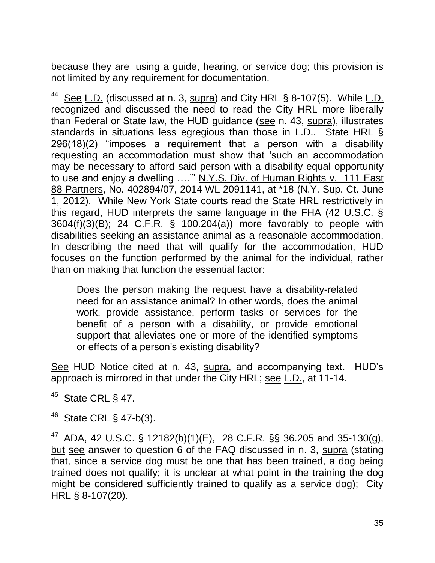$\overline{\phantom{a}}$ because they are using a guide, hearing, or service dog; this provision is not limited by any requirement for documentation.

<sup>44</sup> See L.D. (discussed at n. 3,  $\frac{\text{supra}}{\text{sup}}$ ) and City HRL § 8-107(5). While  $\underline{\text{L.D.}}$ recognized and discussed the need to read the City HRL more liberally than Federal or State law, the HUD guidance (see n. 43, supra), illustrates standards in situations less egregious than those in L.D.. State HRL § 296(18)(2) "imposes a requirement that a person with a disability requesting an accommodation must show that 'such an accommodation may be necessary to afford said person with a disability equal opportunity to use and enjoy a dwelling ...." N.Y.S. Div. of Human Rights v. 111 East 88 Partners, No. 402894/07, 2014 WL 2091141, at \*18 (N.Y. Sup. Ct. June 1, 2012). While New York State courts read the State HRL restrictively in this regard, HUD interprets the same language in the FHA (42 U.S.C. § 3604(f)(3)(B); 24 C.F.R. § 100.204(a)) more favorably to people with disabilities seeking an assistance animal as a reasonable accommodation. In describing the need that will qualify for the accommodation, HUD focuses on the function performed by the animal for the individual, rather than on making that function the essential factor:

Does the person making the request have a disability-related need for an assistance animal? In other words, does the animal work, provide assistance, perform tasks or services for the benefit of a person with a disability, or provide emotional support that alleviates one or more of the identified symptoms or effects of a person's existing disability?

See HUD Notice cited at n. 43, supra, and accompanying text. HUD's approach is mirrored in that under the City HRL; see L.D., at 11-14.

 $45$  State CRL § 47.

State CRL § 47-b(3).

<sup>47</sup> ADA, 42 U.S.C. § 12182(b)(1)(E), 28 C.F.R. §§ 36.205 and 35-130(g), but see answer to question 6 of the FAQ discussed in n. 3, supra (stating that, since a service dog must be one that has been trained, a dog being trained does not qualify; it is unclear at what point in the training the dog might be considered sufficiently trained to qualify as a service dog); City HRL § 8-107(20).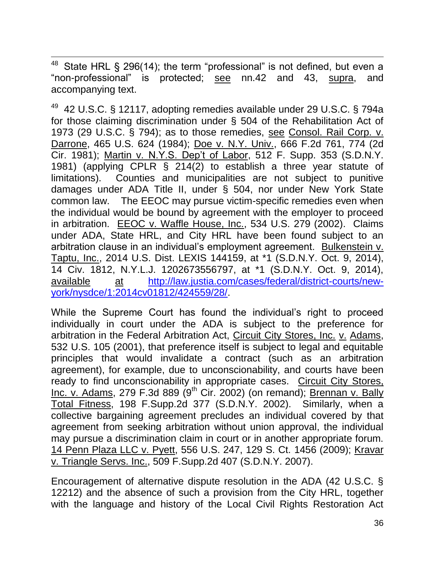$\overline{\phantom{a}}$ State HRL § 296(14); the term "professional" is not defined, but even a "non-professional" is protected; see nn.42 and 43, supra, and accompanying text.

<sup>49</sup> 42 U.S.C. § 12117, adopting remedies available under 29 U.S.C. § 794a for those claiming discrimination under § 504 of the Rehabilitation Act of 1973 (29 U.S.C. § 794); as to those remedies, see Consol. Rail Corp. v. Darrone, 465 U.S. 624 (1984); Doe v. N.Y. Univ., 666 F.2d 761, 774 (2d Cir. 1981); Martin v. N.Y.S. Dep't of Labor, 512 F. Supp. 353 (S.D.N.Y. 1981) (applying CPLR § 214(2) to establish a three year statute of limitations). Counties and municipalities are not subject to punitive damages under ADA Title II, under § 504, nor under New York State common law. The EEOC may pursue victim-specific remedies even when the individual would be bound by agreement with the employer to proceed in arbitration. EEOC v. Waffle House, Inc., 534 U.S. 279 (2002). Claims under ADA, State HRL, and City HRL have been found subject to an arbitration clause in an individual's employment agreement. Bulkenstein v. Taptu, Inc., 2014 U.S. Dist. LEXIS 144159, at \*1 (S.D.N.Y. Oct. 9, 2014), 14 Civ. 1812, N.Y.L.J. 1202673556797, at \*1 (S.D.N.Y. Oct. 9, 2014), available at [http://law.justia.com/cases/federal/district-courts/new](http://law.justia.com/cases/federal/district-courts/new-york/nysdce/1:2014cv01812/424559/28/)[york/nysdce/1:2014cv01812/424559/28/.](http://law.justia.com/cases/federal/district-courts/new-york/nysdce/1:2014cv01812/424559/28/)

While the Supreme Court has found the individual's right to proceed individually in court under the ADA is subject to the preference for arbitration in the Federal Arbitration Act, Circuit City Stores, Inc. v. Adams, 532 U.S. 105 (2001), that preference itself is subject to legal and equitable principles that would invalidate a contract (such as an arbitration agreement), for example, due to unconscionability, and courts have been ready to find unconscionability in appropriate cases. Circuit City Stores, Inc. v. Adams, 279 F.3d 889 (9<sup>th</sup> Cir. 2002) (on remand); Brennan v. Bally Total Fitness, 198 F.Supp.2d 377 (S.D.N.Y. 2002). Similarly, when a collective bargaining agreement precludes an individual covered by that agreement from seeking arbitration without union approval, the individual may pursue a discrimination claim in court or in another appropriate forum. 14 Penn Plaza LLC v. Pyett, 556 U.S. 247, 129 S. Ct. 1456 (2009); Kravar v. Triangle Servs. Inc., 509 F.Supp.2d 407 (S.D.N.Y. 2007).

Encouragement of alternative dispute resolution in the ADA (42 U.S.C. § 12212) and the absence of such a provision from the City HRL, together with the language and history of the Local Civil Rights Restoration Act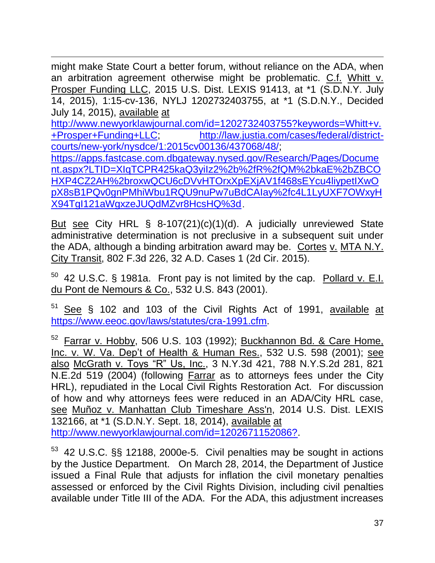$\overline{\phantom{a}}$ might make State Court a better forum, without reliance on the ADA, when an arbitration agreement otherwise might be problematic. C.f. Whitt v. Prosper Funding LLC, 2015 U.S. Dist. LEXIS 91413, at \*1 (S.D.N.Y. July 14, 2015), 1:15-cv-136, NYLJ 1202732403755, at \*1 (S.D.N.Y., Decided July 14, 2015), available at

[http://www.newyorklawjournal.com/id=1202732403755?keywords=Whitt+v.](http://www.newyorklawjournal.com/id=1202732403755?keywords=Whitt+v.+Prosper+Funding+LLC) [+Prosper+Funding+LLC;](http://www.newyorklawjournal.com/id=1202732403755?keywords=Whitt+v.+Prosper+Funding+LLC) [http://law.justia.com/cases/federal/district](http://law.justia.com/cases/federal/district-courts/new-york/nysdce/1:2015cv00136/437068/48/)[courts/new-york/nysdce/1:2015cv00136/437068/48/;](http://law.justia.com/cases/federal/district-courts/new-york/nysdce/1:2015cv00136/437068/48/) [https://apps.fastcase.com.dbgateway.nysed.gov/Research/Pages/Docume](https://apps.fastcase.com.dbgateway.nysed.gov/Research/Pages/Document.aspx?LTID=XIqTCPR425kaQ3yiIz2%2b%2fR%2fQM%2bkaE%2bZBCOHXP4CZ2AH%2broxwQCU6cDVvHTOrxXpEXjAV1f468sEYcu4liypetIXwOpX8sB1PQv0gnPMhiWbu1RQU9nuPw7uBdCAIay%2fc4L1LyUXF7OWxyHX94TgI121aWgxzeJUQdMZvr8HcsHQ%3d) [nt.aspx?LTID=XIqTCPR425kaQ3yiIz2%2b%2fR%2fQM%2bkaE%2bZBCO](https://apps.fastcase.com.dbgateway.nysed.gov/Research/Pages/Document.aspx?LTID=XIqTCPR425kaQ3yiIz2%2b%2fR%2fQM%2bkaE%2bZBCOHXP4CZ2AH%2broxwQCU6cDVvHTOrxXpEXjAV1f468sEYcu4liypetIXwOpX8sB1PQv0gnPMhiWbu1RQU9nuPw7uBdCAIay%2fc4L1LyUXF7OWxyHX94TgI121aWgxzeJUQdMZvr8HcsHQ%3d) [HXP4CZ2AH%2broxwQCU6cDVvHTOrxXpEXjAV1f468sEYcu4liypetIXwO](https://apps.fastcase.com.dbgateway.nysed.gov/Research/Pages/Document.aspx?LTID=XIqTCPR425kaQ3yiIz2%2b%2fR%2fQM%2bkaE%2bZBCOHXP4CZ2AH%2broxwQCU6cDVvHTOrxXpEXjAV1f468sEYcu4liypetIXwOpX8sB1PQv0gnPMhiWbu1RQU9nuPw7uBdCAIay%2fc4L1LyUXF7OWxyHX94TgI121aWgxzeJUQdMZvr8HcsHQ%3d) [pX8sB1PQv0gnPMhiWbu1RQU9nuPw7uBdCAIay%2fc4L1LyUXF7OWxyH](https://apps.fastcase.com.dbgateway.nysed.gov/Research/Pages/Document.aspx?LTID=XIqTCPR425kaQ3yiIz2%2b%2fR%2fQM%2bkaE%2bZBCOHXP4CZ2AH%2broxwQCU6cDVvHTOrxXpEXjAV1f468sEYcu4liypetIXwOpX8sB1PQv0gnPMhiWbu1RQU9nuPw7uBdCAIay%2fc4L1LyUXF7OWxyHX94TgI121aWgxzeJUQdMZvr8HcsHQ%3d) [X94TgI121aWgxzeJUQdMZvr8HcsHQ%3d](https://apps.fastcase.com.dbgateway.nysed.gov/Research/Pages/Document.aspx?LTID=XIqTCPR425kaQ3yiIz2%2b%2fR%2fQM%2bkaE%2bZBCOHXP4CZ2AH%2broxwQCU6cDVvHTOrxXpEXjAV1f468sEYcu4liypetIXwOpX8sB1PQv0gnPMhiWbu1RQU9nuPw7uBdCAIay%2fc4L1LyUXF7OWxyHX94TgI121aWgxzeJUQdMZvr8HcsHQ%3d).

But see City HRL § 8-107(21)(c)(1)(d). A judicially unreviewed State administrative determination is not preclusive in a subsequent suit under the ADA, although a binding arbitration award may be. Cortes v. MTA N.Y. City Transit, 802 F.3d 226, 32 A.D. Cases 1 (2d Cir. 2015).

 $50$  42 U.S.C. § 1981a. Front pay is not limited by the cap. Pollard v. E.I. du Pont de Nemours & Co., 532 U.S. 843 (2001).

51 See § 102 and 103 of the Civil Rights Act of 1991, available at [https://www.eeoc.gov/laws/statutes/cra-1991.cfm.](https://www.eeoc.gov/laws/statutes/cra-1991.cfm)

<sup>52</sup> Farrar v. Hobby, 506 U.S. 103 (1992); Buckhannon Bd. & Care Home, Inc. v. W. Va. Dep't of Health & Human Res., 532 U.S. 598 (2001); see also McGrath v. Toys "R" Us, Inc., 3 N.Y.3d 421, 788 N.Y.S.2d 281, 821 N.E.2d 519 (2004) (following Farrar as to attorneys fees under the City HRL), repudiated in the Local Civil Rights Restoration Act. For discussion of how and why attorneys fees were reduced in an ADA/City HRL case, see Muñoz v. Manhattan Club Timeshare Ass'n, 2014 U.S. Dist. LEXIS 132166, at \*1 (S.D.N.Y. Sept. 18, 2014), available at [http://www.newyorklawjournal.com/id=1202671152086?.](http://www.newyorklawjournal.com/id=1202671152086?)

<sup>53</sup> 42 U.S.C. §§ 12188, 2000e-5. Civil penalties may be sought in actions by the Justice Department. On March 28, 2014, the Department of Justice issued a Final Rule that adjusts for inflation the civil monetary penalties assessed or enforced by the Civil Rights Division, including civil penalties available under Title III of the ADA. For the ADA, this adjustment increases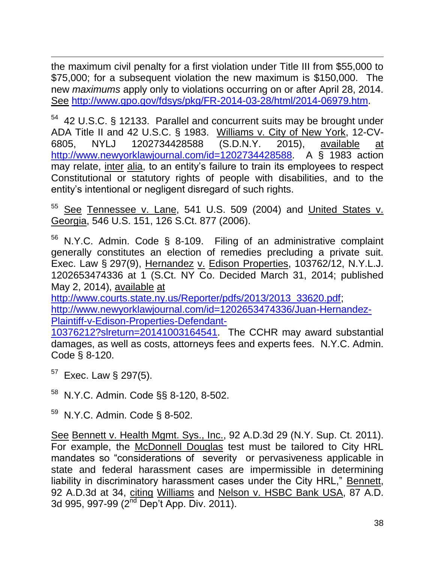$\overline{\phantom{a}}$ the maximum civil penalty for a first violation under Title III from \$55,000 to \$75,000; for a subsequent violation the new maximum is \$150,000. The new *maximums* apply only to violations occurring on or after April 28, 2014. See [http://www.gpo.gov/fdsys/pkg/FR-2014-03-28/html/2014-06979.htm.](http://www.gpo.gov/fdsys/pkg/FR-2014-03-28/html/2014-06979.htm)

<sup>54</sup> 42 U.S.C. § 12133. Parallel and concurrent suits may be brought under ADA Title II and 42 U.S.C. § 1983. Williams v. City of New York, 12-CV-6805, NYLJ 1202734428588 (S.D.N.Y. 2015), available at [http://www.newyorklawjournal.com/id=1202734428588.](http://www.newyorklawjournal.com/id=1202734428588) A § 1983 action may relate, inter alia, to an entity's failure to train its employees to respect Constitutional or statutory rights of people with disabilities, and to the entity's intentional or negligent disregard of such rights.

<sup>55</sup> See Tennessee v. Lane, 541 U.S. 509 (2004) and United States v. Georgia, 546 U.S. 151, 126 S.Ct. 877 (2006).

 $56$  N.Y.C. Admin. Code § 8-109. Filing of an administrative complaint generally constitutes an election of remedies precluding a private suit. Exec. Law § 297(9), Hernandez v. Edison Properties, 103762/12, N.Y.L.J. 1202653474336 at 1 (S.Ct. NY Co. Decided March 31, 2014; published May 2, 2014), available at

[http://www.courts.state.ny.us/Reporter/pdfs/2013/2013\\_33620.pdf;](http://www.courts.state.ny.us/Reporter/pdfs/2013/2013_33620.pdf) [http://www.newyorklawjournal.com/id=1202653474336/Juan-Hernandez-](http://www.newyorklawjournal.com/id=1202653474336/Juan-Hernandez-Plaintiff-v-Edison-Properties-Defendant-10376212?slreturn=20141003164541)[Plaintiff-v-Edison-Properties-Defendant-](http://www.newyorklawjournal.com/id=1202653474336/Juan-Hernandez-Plaintiff-v-Edison-Properties-Defendant-10376212?slreturn=20141003164541)

[10376212?slreturn=20141003164541.](http://www.newyorklawjournal.com/id=1202653474336/Juan-Hernandez-Plaintiff-v-Edison-Properties-Defendant-10376212?slreturn=20141003164541) The CCHR may award substantial damages, as well as costs, attorneys fees and experts fees. N.Y.C. Admin. Code § 8-120.

- $57$  Exec. Law § 297(5).
- <sup>58</sup> N.Y.C. Admin. Code §§ 8-120, 8-502.
- $59$  N.Y.C. Admin. Code § 8-502.

See Bennett v. Health Mgmt. Sys., Inc., 92 A.D.3d 29 (N.Y. Sup. Ct. 2011). For example, the McDonnell Douglas test must be tailored to City HRL mandates so "considerations of severity or pervasiveness applicable in state and federal harassment cases are impermissible in determining liability in discriminatory harassment cases under the City HRL," Bennett, 92 A.D.3d at 34, citing Williams and Nelson v. HSBC Bank USA, 87 A.D. 3d 995, 997-99 (2<sup>nd</sup> Dep't App. Div. 2011).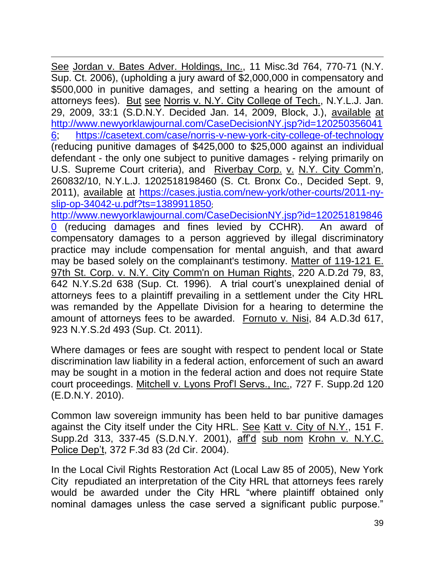$\overline{\phantom{a}}$ See Jordan v. Bates Adver. Holdings, Inc., 11 Misc.3d 764, 770-71 (N.Y. Sup. Ct. 2006), (upholding a jury award of \$2,000,000 in compensatory and \$500,000 in punitive damages, and setting a hearing on the amount of attorneys fees). But see Norris v. N.Y. City College of Tech., N.Y.L.J. Jan. 29, 2009, 33:1 (S.D.N.Y. Decided Jan. 14, 2009, Block, J.), available at [http://www.newyorklawjournal.com/CaseDecisionNY.jsp?id=120250356041](http://www.newyorklawjournal.com/CaseDecisionNY.jsp?id=1202503560416) [6;](http://www.newyorklawjournal.com/CaseDecisionNY.jsp?id=1202503560416) <https://casetext.com/case/norris-v-new-york-city-college-of-technology> (reducing punitive damages of \$425,000 to \$25,000 against an individual defendant - the only one subject to punitive damages - relying primarily on U.S. Supreme Court criteria), and Riverbay Corp. v. N.Y. City Comm'n, 260832/10, N.Y.L.J. 1202518198460 (S. Ct. Bronx Co., Decided Sept. 9, 2011), available at [https://cases.justia.com/new-york/other-courts/2011-ny](https://cases.justia.com/new-york/other-courts/2011-ny-slip-op-34042-u.pdf?ts=1389911850)[slip-op-34042-u.pdf?ts=1389911850](https://cases.justia.com/new-york/other-courts/2011-ny-slip-op-34042-u.pdf?ts=1389911850);

[http://www.newyorklawjournal.com/CaseDecisionNY.jsp?id=120251819846](http://www.newyorklawjournal.com/CaseDecisionNY.jsp?id=1202518198460) [0](http://www.newyorklawjournal.com/CaseDecisionNY.jsp?id=1202518198460) (reducing damages and fines levied by CCHR). An award of compensatory damages to a person aggrieved by illegal discriminatory practice may include compensation for mental anguish, and that award may be based solely on the complainant's testimony. Matter of 119-121 E. 97th St. Corp. v. N.Y. City Comm'n on Human Rights, 220 A.D.2d 79, 83, 642 N.Y.S.2d 638 (Sup. Ct. 1996). A trial court's unexplained denial of attorneys fees to a plaintiff prevailing in a settlement under the City HRL was remanded by the Appellate Division for a hearing to determine the amount of attorneys fees to be awarded. Fornuto v. Nisi, 84 A.D.3d 617, 923 N.Y.S.2d 493 (Sup. Ct. 2011).

Where damages or fees are sought with respect to pendent local or State discrimination law liability in a federal action, enforcement of such an award may be sought in a motion in the federal action and does not require State court proceedings. Mitchell v. Lyons Prof'l Servs., Inc., 727 F. Supp.2d 120 (E.D.N.Y. 2010).

Common law sovereign immunity has been held to bar punitive damages against the City itself under the City HRL. See Katt v. City of N.Y., 151 F. Supp.2d 313, 337-45 (S.D.N.Y. 2001), aff'd sub nom Krohn v. N.Y.C. Police Dep't, 372 F.3d 83 (2d Cir. 2004).

In the Local Civil Rights Restoration Act (Local Law 85 of 2005), New York City repudiated an interpretation of the City HRL that attorneys fees rarely would be awarded under the City HRL "where plaintiff obtained only nominal damages unless the case served a significant public purpose."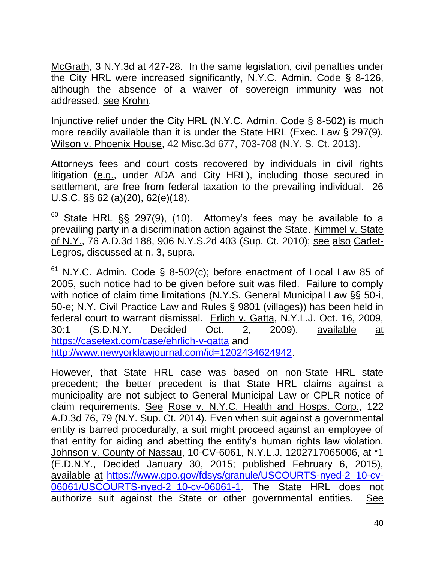McGrath, 3 N.Y.3d at 427-28. In the same legislation, civil penalties under the City HRL were increased significantly, N.Y.C. Admin. Code § 8-126, although the absence of a waiver of sovereign immunity was not addressed, see Krohn.

 $\overline{\phantom{a}}$ 

Injunctive relief under the City HRL (N.Y.C. Admin. Code § 8-502) is much more readily available than it is under the State HRL (Exec. Law § 297(9). Wilson v. Phoenix House, 42 Misc.3d 677, 703-708 (N.Y. S. Ct. 2013).

Attorneys fees and court costs recovered by individuals in civil rights litigation (e.g., under ADA and City HRL), including those secured in settlement, are free from federal taxation to the prevailing individual. 26 U.S.C. §§ 62 (a)(20), 62(e)(18).

 $60$  State HRL §§ 297(9), (10). Attorney's fees may be available to a prevailing party in a discrimination action against the State. Kimmel v. State of N.Y., 76 A.D.3d 188, 906 N.Y.S.2d 403 (Sup. Ct. 2010); see also Cadet-Legros, discussed at n. 3, supra.

 $61$  N.Y.C. Admin. Code § 8-502(c); before enactment of Local Law 85 of 2005, such notice had to be given before suit was filed. Failure to comply with notice of claim time limitations (N.Y.S. General Municipal Law §§ 50-i, 50-e; N.Y. Civil Practice Law and Rules § 9801 (villages)) has been held in federal court to warrant dismissal. Erlich v. Gatta, N.Y.L.J. Oct. 16, 2009, 30:1 (S.D.N.Y. Decided Oct. 2, 2009), available at <https://casetext.com/case/ehrlich-v-gatta> and [http://www.newyorklawjournal.com/id=1202434624942.](http://www.newyorklawjournal.com/id=1202434624942)

However, that State HRL case was based on non-State HRL state precedent; the better precedent is that State HRL claims against a municipality are not subject to General Municipal Law or CPLR notice of claim requirements. See Rose v. N.Y.C. Health and Hosps. Corp., 122 A.D.3d 76, 79 (N.Y. Sup. Ct. 2014). Even when suit against a governmental entity is barred procedurally, a suit might proceed against an employee of that entity for aiding and abetting the entity's human rights law violation. Johnson v. County of Nassau, 10-CV-6061, N.Y.L.J. 1202717065006, at \*1 (E.D.N.Y., Decided January 30, 2015; published February 6, 2015), available at [https://www.gpo.gov/fdsys/granule/USCOURTS-nyed-2\\_10-cv-](https://www.gpo.gov/fdsys/granule/USCOURTS-nyed-2_10-cv-06061/USCOURTS-nyed-2_10-cv-06061-1)[06061/USCOURTS-nyed-2\\_10-cv-06061-1.](https://www.gpo.gov/fdsys/granule/USCOURTS-nyed-2_10-cv-06061/USCOURTS-nyed-2_10-cv-06061-1) The State HRL does not authorize suit against the State or other governmental entities. See